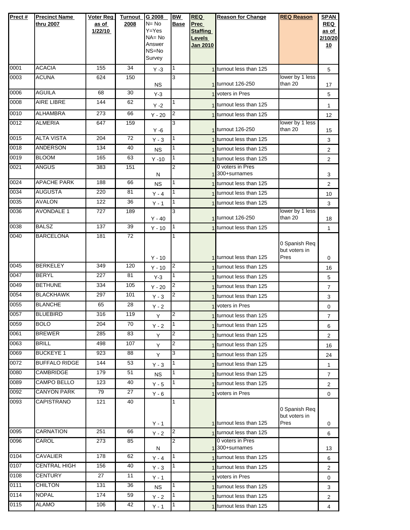| Prect#       | <b>Precinct Name</b>                 | <b>Voter Reg</b> | <b>Turnout</b>  | G 2008                | <b>BW</b>         | <b>REQ</b>                       | <b>Reason for Change</b>                           | <b>REQ Reason</b>              | <b>SPAN</b>        |
|--------------|--------------------------------------|------------------|-----------------|-----------------------|-------------------|----------------------------------|----------------------------------------------------|--------------------------------|--------------------|
|              | thru 2007                            | as of            | 2008            | $N = No$<br>$Y = Yes$ | <b>Base</b>       | <b>Prec</b>                      |                                                    |                                | <b>REQ</b>         |
|              |                                      | 1/22/10          |                 | $NA = No$             |                   | <b>Staffing</b><br><b>Levels</b> |                                                    |                                | as of<br>2/10/20   |
|              |                                      |                  |                 | Answer                |                   | <b>Jan 2010</b>                  |                                                    |                                | 10                 |
|              |                                      |                  |                 | NS=No<br>Survey       |                   |                                  |                                                    |                                |                    |
| 0001         | <b>ACACIA</b>                        | 155              | 34              | $Y - 3$               | 1                 |                                  | 1 turnout less than 125                            |                                | 5                  |
| 0003         | <b>ACUNA</b>                         | 624              | 150             |                       | 3                 |                                  |                                                    | lower by 1 less                |                    |
| 0006         | <b>AGUILA</b>                        | 68               | 30              | <b>NS</b>             |                   |                                  | 1 turnout 126-250<br>1 voters in Pres              | than 20                        | 17                 |
| 0008         | AIRE LIBRE                           | 144              | 62              | $Y-3$                 | 1                 |                                  |                                                    |                                | 5                  |
| 0010         | <b>ALHAMBRA</b>                      | 273              | 66              | $Y - 2$<br>$Y - 20$   | $\overline{2}$    |                                  | 1 turnout less than 125<br>1 turnout less than 125 |                                | $\mathbf{1}$<br>12 |
| 0012         | <b>ALMERIA</b>                       | 647              | 159             |                       | 3                 |                                  |                                                    | lower by 1 less                |                    |
|              |                                      |                  |                 | $Y - 6$               |                   |                                  | 1 turnout 126-250                                  | than 20                        | 15                 |
| 0015         | <b>ALTA VISTA</b><br><b>ANDERSON</b> | 204              | 72              | $Y - 3$               | $\mathbf{1}$      |                                  | 1 turnout less than 125                            |                                | 3                  |
| 0018<br>0019 | <b>BLOOM</b>                         | 134<br>165       | 40<br>63        | <b>NS</b>             | 1<br>$\mathbf{1}$ |                                  | 1 turnout less than 125                            |                                | $\overline{2}$     |
| 0021         | <b>ANGUS</b>                         | 383              | 151             | $Y - 10$              | 2                 |                                  | 1 turnout less than 125<br>0 voters in Pres        |                                | $\overline{2}$     |
|              |                                      |                  |                 | N                     |                   |                                  | 1 300+surnames                                     |                                | 3                  |
| 0024         | <b>APACHE PARK</b>                   | 188              | 66              | <b>NS</b>             | $\mathbf{1}$      |                                  | 1 turnout less than 125                            |                                | $\overline{2}$     |
| 0034         | <b>AUGUSTA</b>                       | 220              | 81              | $Y - 4$               | 1                 |                                  | 1 turnout less than 125                            |                                | 10                 |
| 0035         | <b>AVALON</b>                        | 122              | 36              | $Y - 1$               | $\overline{1}$    |                                  | 1 turnout less than 125                            |                                | 3                  |
| 0036         | <b>AVONDALE 1</b>                    | 727              | 189             | $Y - 40$              | 3                 |                                  | 1 turnout 126-250                                  | lower by 1 less<br>than 20     | 18                 |
| 0038         | <b>BALSZ</b>                         | 137              | 39              | $Y - 10$              | 1                 |                                  | 1 turnout less than 125                            |                                | $\mathbf{1}$       |
| 0040         | <b>BARCELONA</b>                     | 181              | $\overline{72}$ |                       | 1                 |                                  |                                                    | 0 Spanish Req<br>but voters in |                    |
|              |                                      |                  |                 | $Y - 10$              |                   |                                  | 1 turnout less than 125                            | Pres                           | 0                  |
| 0045         | <b>BERKELEY</b>                      | 349              | 120             | $Y - 10$              | I2                |                                  | 1 turnout less than 125                            |                                | 16                 |
| 0047         | <b>BERYL</b>                         | 227              | 81              | $Y-3$                 | 1                 |                                  | 1 turnout less than 125                            |                                | 5                  |
| 0049         | <b>BETHUNE</b>                       | 334              | 105             | $Y - 20$              | $\overline{2}$    |                                  | 1 turnout less than 125                            |                                | $\overline{7}$     |
| 0054         | <b>BLACKHAWK</b><br><b>BLANCHE</b>   | 297              | 101             | $Y - 3$               | $\overline{c}$    |                                  | <b>Iturnout less than 125</b>                      |                                | 3                  |
| 0055<br>0057 | <b>BLUEBIRD</b>                      | 65<br>316        | 28<br>119       | $Y - 2$               | $\overline{2}$    |                                  | 1 voters in Pres                                   |                                | 0                  |
| 0059         | <b>BOLO</b>                          | 204              | 70              | Y                     | $\overline{1}$    |                                  | 1 turnout less than 125                            |                                | 7                  |
| 0061         | <b>BREWER</b>                        | 285              | 83              | $Y - 2$               | $\overline{c}$    |                                  | 1 turnout less than 125                            |                                | 6                  |
| 0063         | <b>BRILL</b>                         | 498              | 107             | Y                     | $\overline{2}$    |                                  | 1 turnout less than 125<br>turnout less than 125   |                                | $\overline{2}$     |
| 0069         | <b>BUCKEYE 1</b>                     | 923              | 88              | Y<br>Y                | 3                 |                                  | 1 turnout less than 125                            |                                | 16                 |
| 0072         | <b>BUFFALO RIDGE</b>                 | 144              | 53              | $Y - 3$               | 1                 |                                  | 1 turnout less than 125                            |                                | 24<br>$\mathbf 1$  |
| 0080         | <b>CAMBRIDGE</b>                     | 179              | 51              | <b>NS</b>             | 1                 |                                  | 1 turnout less than 125                            |                                | $\overline{7}$     |
| 0089         | <b>CAMPO BELLO</b>                   | 123              | 40              | $Y - 5$               | $\mathbf{1}$      |                                  | 1 turnout less than 125                            |                                | $\overline{2}$     |
| 0092         | <b>CANYON PARK</b>                   | 79               | 27              | $Y - 6$               |                   |                                  | 1 voters in Pres                                   |                                | 0                  |
| 0093         | CAPISTRANO                           | 121              | 40              |                       | 1                 |                                  |                                                    | 0 Spanish Req<br>but voters in |                    |
|              |                                      |                  |                 | $Y - 1$               |                   |                                  | 1 turnout less than 125                            | Pres                           | 0                  |
| 0095         | <b>CARNATION</b>                     | 251              | 66              | $Y - 2$               | $\overline{2}$    |                                  | 1 turnout less than 125                            |                                | 6                  |
| 0096         | CAROL                                | 273              | 85              | N                     | 2                 |                                  | 0 voters in Pres<br>1 <sup>300+surnames</sup>      |                                | 13                 |
| 0104         | <b>CAVALIER</b>                      | 178              | 62              | $Y - 4$               | $\vert$ 1         |                                  | 1 turnout less than 125                            |                                | 6                  |
| 0107         | <b>CENTRAL HIGH</b>                  | 156              | 40              | $Y - 3$               | $\mathbf{1}$      |                                  | 1 turnout less than 125                            |                                | $\overline{2}$     |
| 0108         | <b>CENTURY</b>                       | 27               | 11              | $Y - 1$               |                   |                                  | 1 voters in Pres                                   |                                | 0                  |
| 0111         | <b>CHILTON</b>                       | 131              | 36              | <b>NS</b>             | 1                 |                                  | 1 turnout less than 125                            |                                | 3                  |
| 0114         | <b>NOPAL</b>                         | 174              | 59              | $Y - 2$               | $\overline{1}$    |                                  | 1 turnout less than 125                            |                                | $\overline{2}$     |
| 0115         | <b>ALAMO</b>                         | 106              | 42              | $Y - 1$               | 1                 |                                  | 1 turnout less than 125                            |                                | 4                  |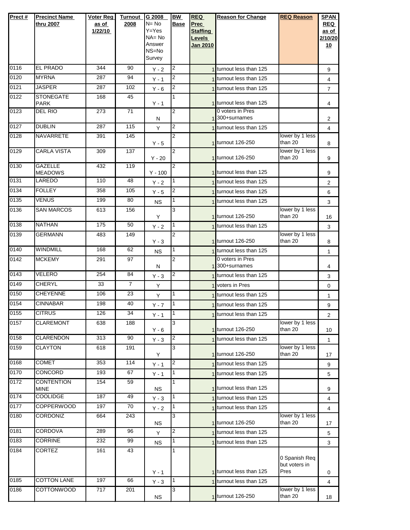| Prect# | <b>Precinct Name</b><br>thru 2007 | <b>Voter Reg</b><br>as of<br>1/22/10 | <b>Turnout</b><br>2008 | G 2008<br>$N = No$<br>$Y = Yes$<br>NA= No<br>Answer<br>NS=No<br>Survey | <b>BW</b><br><b>Base</b> | <b>REQ</b><br><b>Prec</b><br><b>Staffing</b><br><b>Levels</b><br>Jan 2010 | <b>Reason for Change</b>                      | <b>REQ Reason</b>              | <b>SPAN</b><br><b>REQ</b><br>as of<br>2/10/20<br><u>10</u> |
|--------|-----------------------------------|--------------------------------------|------------------------|------------------------------------------------------------------------|--------------------------|---------------------------------------------------------------------------|-----------------------------------------------|--------------------------------|------------------------------------------------------------|
| 0116   | <b>EL PRADO</b>                   | 344                                  | 90                     | $Y - 2$                                                                | 2                        |                                                                           | 1 turnout less than 125                       |                                | 9                                                          |
| 0120   | <b>MYRNA</b>                      | 287                                  | 94                     | $Y - 1$                                                                | 2                        |                                                                           | 1 turnout less than 125                       |                                | $\overline{4}$                                             |
| 0121   | <b>JASPER</b>                     | 287                                  | 102                    | $Y - 6$                                                                | 2                        |                                                                           | turnout less than 125                         |                                | $\overline{7}$                                             |
| 0122   | <b>STONEGATE</b><br><b>PARK</b>   | 168                                  | 45                     | $Y - 1$                                                                | 1                        |                                                                           | 1 turnout less than 125                       |                                | 4                                                          |
| 0123   | DEL RIO                           | 273                                  | 71                     | Ν                                                                      | 2                        |                                                                           | 0 voters in Pres<br>1 <sup>300+surnames</sup> |                                | 2                                                          |
| 0127   | <b>DUBLIN</b>                     | 287                                  | 115                    | Y                                                                      | 2                        |                                                                           | 1 turnout less than 125                       |                                | $\overline{4}$                                             |
| 0128   | NAVARRETE                         | 391                                  | 145                    | $Y - 5$                                                                | $\overline{2}$           |                                                                           | 1 turnout 126-250                             | lower by 1 less<br>than 20     | 8                                                          |
| 0129   | <b>CARLA VISTA</b>                | 309                                  | 137                    | $Y - 20$                                                               | $\overline{2}$           |                                                                           | 1 turnout 126-250                             | lower by 1 less<br>than 20     | 9                                                          |
| 0130   | <b>GAZELLE</b><br><b>MEADOWS</b>  | 432                                  | 119                    | $Y - 100$                                                              | $\overline{2}$           |                                                                           | 1 turnout less than 125                       |                                | 9                                                          |
| 0131   | LAREDO                            | 110                                  | 48                     | $Y - 2$                                                                | 1                        |                                                                           | 1 turnout less than 125                       |                                | 2                                                          |
| 0134   | <b>FOLLEY</b>                     | 358                                  | 105                    | $Y - 5$                                                                | $\overline{c}$           |                                                                           | 1 turnout less than 125                       |                                | 6                                                          |
| 0135   | VENUS                             | 199                                  | 80                     | <b>NS</b>                                                              | 1                        |                                                                           | 1 turnout less than 125                       |                                | 3                                                          |
| 0136   | <b>SAN MARCOS</b>                 | 613                                  | 156                    | Y                                                                      | 3                        |                                                                           | 1 turnout 126-250                             | lower by 1 less<br>than 20     | 16                                                         |
| 0138   | <b>NATHAN</b>                     | 175                                  | 50                     | $Y - 2$                                                                | 1                        |                                                                           | 1 turnout less than 125                       |                                | 3                                                          |
| 0139   | <b>GERMANN</b>                    | 483                                  | 149                    | $Y - 3$                                                                | $\overline{2}$           |                                                                           | 1 turnout 126-250                             | lower by 1 less<br>than 20     | 8                                                          |
| 0140   | <b>WINDMILL</b>                   | 168                                  | 62                     | <b>NS</b>                                                              | 1                        |                                                                           | 1 turnout less than 125                       |                                | 1                                                          |
| 0142   | <b>MCKEMY</b>                     | 291                                  | 97                     |                                                                        | $\overline{2}$           |                                                                           | 0 voters in Pres<br>1 300+surnames            |                                |                                                            |
| 0143   | VELERO                            | 254                                  | 84                     | Ν                                                                      | 2                        |                                                                           | turnout less than 125                         |                                | 4                                                          |
| 0149   | <b>CHERYL</b>                     | 33                                   | $\overline{7}$         | $Y - 3$<br>Y                                                           |                          |                                                                           | <b>Voters in Pres</b>                         |                                | 3<br>$\mathbf 0$                                           |
| 0150   | <b>CHEYENNE</b>                   | 106                                  | $\overline{23}$        | Y                                                                      | 1                        |                                                                           | 1 turnout less than 125                       |                                | 1                                                          |
| 0154   | <b>CINNABAR</b>                   | 198                                  | 40                     | $Y - 7$                                                                | 1                        |                                                                           | turnout less than 125                         |                                | 9                                                          |
| 0155   | <b>CITRUS</b>                     | 126                                  | 34                     | $Y - 1$                                                                | I1                       |                                                                           | 1 turnout less than 125                       |                                | 2                                                          |
| 0157   | <b>CLAREMONT</b>                  | 638                                  | 188                    | $Y - 6$                                                                | 3                        |                                                                           | 1 turnout 126-250                             | lower by 1 less<br>than 20     | 10                                                         |
| 0158   | <b>CLARENDON</b>                  | 313                                  | 90                     | $Y - 3$                                                                | $\overline{c}$           |                                                                           | 1 turnout less than 125                       |                                | 1                                                          |
| 0159   | <b>CLAYTON</b>                    | 618                                  | 191                    | Y                                                                      | 3                        |                                                                           | 1 turnout 126-250                             | lower by 1 less<br>than 20     | 17                                                         |
| 0168   | <b>COMET</b>                      | 353                                  | 114                    | $Y - 1$                                                                | 2                        |                                                                           | 1 turnout less than 125                       |                                | 9                                                          |
| 0170   | CONCORD                           | 193                                  | 67                     | $Y - 1$                                                                | 1                        |                                                                           | turnout less than 125                         |                                | 5                                                          |
| 0172   | <b>CONTENTION</b><br><b>MINE</b>  | 154                                  | 59                     | NS.                                                                    | 1                        |                                                                           | 1 turnout less than 125                       |                                | 9                                                          |
| 0174   | <b>COOLIDGE</b>                   | 187                                  | 49                     | $Y - 3$                                                                | 1                        |                                                                           | 1 turnout less than 125                       |                                | $\overline{4}$                                             |
| 0177   | <b>COPPERWOOD</b>                 | 197                                  | 70                     | $Y - 2$                                                                | 1                        |                                                                           | 1 turnout less than 125                       |                                | 4                                                          |
| 0180   | CORDONIZ                          | 664                                  | 243                    | <b>NS</b>                                                              | 3                        |                                                                           | 1 turnout 126-250                             | lower by 1 less<br>than 20     | 17                                                         |
| 0181   | <b>CORDOVA</b>                    | 289                                  | 96                     | Y                                                                      | 2                        |                                                                           | 1 turnout less than 125                       |                                | 5                                                          |
| 0183   | <b>CORRINE</b>                    | 232                                  | 99                     | <b>NS</b>                                                              | 1                        |                                                                           | 1 turnout less than 125                       |                                | 3                                                          |
| 0184   | <b>CORTEZ</b>                     | 161                                  | 43                     |                                                                        | 1                        |                                                                           |                                               | 0 Spanish Req<br>but voters in |                                                            |
| 0185   | <b>COTTON LANE</b>                | 197                                  | 66                     | $Y - 1$                                                                | 1                        |                                                                           | 1 turnout less than 125                       | Pres                           | 0                                                          |
| 0186   | COTTONWOOD                        | 717                                  | 201                    | $Y - 3$                                                                | 3                        |                                                                           | 1 turnout less than 125                       | lower by 1 less                | $\overline{4}$                                             |
|        |                                   |                                      |                        | <b>NS</b>                                                              |                          |                                                                           | 1 turnout 126-250                             | than 20                        | 18                                                         |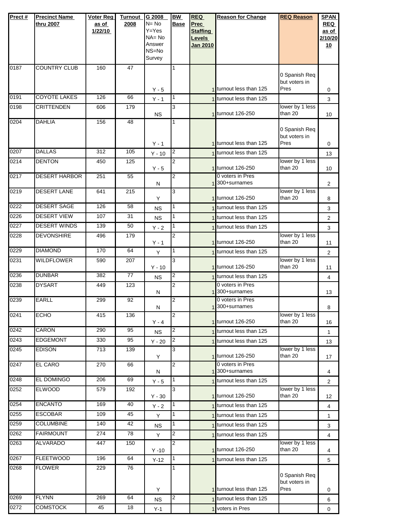| Prect # | <b>Precinct Name</b> | <b>Voter Reg</b> | <b>Turnout</b> | G 2008              | <b>BW</b>      | <b>REQ</b>      | <b>Reason for Change</b>              | <b>REQ Reason</b>          | <b>SPAN</b>    |
|---------|----------------------|------------------|----------------|---------------------|----------------|-----------------|---------------------------------------|----------------------------|----------------|
|         | thru 2007            | as of            | 2008           | $N = No$            | <b>Base</b>    | Prec            |                                       |                            | <b>REQ</b>     |
|         |                      | 1/22/10          |                | $Y = Yes$           |                | <b>Staffing</b> |                                       |                            | as of          |
|         |                      |                  |                | $NA = No$<br>Answer |                | <b>Levels</b>   |                                       |                            | 2/10/20        |
|         |                      |                  |                | NS=No               |                | <b>Jan 2010</b> |                                       |                            | 10             |
|         |                      |                  |                | Survey              |                |                 |                                       |                            |                |
| 0187    | <b>COUNTRY CLUB</b>  | 160              | 47             |                     | 1              |                 |                                       |                            |                |
|         |                      |                  |                |                     |                |                 |                                       | 0 Spanish Req              |                |
|         |                      |                  |                |                     |                |                 | 1 turnout less than 125               | but voters in<br>Pres      |                |
| 0191    | <b>COYOTE LAKES</b>  | 126              | 66             | $Y - 5$             | 1              |                 | 1 turnout less than 125               |                            | 0              |
| 0198    | <b>CRITTENDEN</b>    | 606              | 179            | $Y - 1$             | 3              |                 |                                       | lower by 1 less            | 3              |
|         |                      |                  |                | NS.                 |                |                 | 1 turnout 126-250                     | than 20                    | 10             |
| 0204    | <b>DAHLIA</b>        | 156              | 48             |                     | 1              |                 |                                       |                            |                |
|         |                      |                  |                |                     |                |                 |                                       | 0 Spanish Req              |                |
|         |                      |                  |                | $Y - 1$             |                |                 | 1 turnout less than 125               | but voters in<br>Pres      | 0              |
| 0207    | <b>DALLAS</b>        | 312              | 105            |                     | $\overline{c}$ |                 | 1 turnout less than 125               |                            |                |
| 0214    | <b>DENTON</b>        | 450              | 125            | $Y - 10$            | $\overline{2}$ |                 |                                       | lower by 1 less            | 13             |
|         |                      |                  |                | $Y - 5$             |                |                 | 1 turnout 126-250                     | than 20                    | 10             |
| 0217    | <b>DESERT HARBOR</b> | 251              | 55             |                     | $\overline{2}$ |                 | 0 voters in Pres                      |                            |                |
|         |                      |                  |                | N                   |                |                 | 1300+surnames                         |                            | $\overline{2}$ |
| 0219    | DESERT LANE          | 641              | 215            | Y                   | 3              |                 | 1 turnout 126-250                     | lower by 1 less<br>than 20 | 8              |
| 0222    | <b>DESERT SAGE</b>   | 126              | 58             | <b>NS</b>           | 1              |                 | 1 turnout less than 125               |                            | 3              |
| 0226    | <b>DESERT VIEW</b>   | 107              | 31             |                     | 1              |                 | 1 turnout less than 125               |                            |                |
| 0227    | <b>DESERT WINDS</b>  | 139              | 50             | <b>NS</b>           | 1              |                 |                                       |                            | 2              |
|         | <b>DEVONSHIRE</b>    |                  | 179            | $Y - 2$             |                |                 | 1 turnout less than 125               | lower by 1 less            | 3              |
| 0228    |                      | 496              |                | $Y - 1$             | 2              |                 | 1 turnout 126-250                     | than 20                    | 11             |
| 0229    | <b>DIAMOND</b>       | 170              | 64             | Y                   | 1              |                 | 1 turnout less than 125               |                            | $\overline{2}$ |
| 0231    | <b>WILDFLOWER</b>    | 590              | 207            |                     | 3              |                 |                                       | lower by 1 less            |                |
|         |                      |                  |                | $Y - 10$            |                |                 | 1 turnout 126-250                     | than 20                    | 11             |
| 0236    | <b>DUNBAR</b>        | 382              | 77             | <b>NS</b>           | 2              |                 | 1 turnout less than 125               |                            | 4              |
| 0238    | <b>DYSART</b>        | 449              | 123            |                     | $\overline{2}$ |                 | 0 voters in Pres<br>1 300+surnames    |                            |                |
| 0239    | <b>EARLL</b>         | 299              | 92             | Ν                   | 2              |                 | 0 voters in Pres                      |                            | 13             |
|         |                      |                  |                | N                   |                |                 | 1 300+surnames                        |                            | 8              |
| 0241    | <b>ECHO</b>          | 415              | 136            |                     | $\mathbf{z}$   |                 |                                       | lower by 1 less            |                |
|         |                      |                  |                | $Y - 4$             |                |                 | 1 turnout 126-250                     | than 20                    | 16             |
| 0242    | CARON                | 290              | 95             | <b>NS</b>           | 2              |                 | 1 turnout less than 125               |                            | 1              |
| 0243    | <b>EDGEMONT</b>      | 330              | 95             | $Y - 20$            | 2              |                 | 1 turnout less than 125               |                            | 13             |
| 0245    | <b>EDISON</b>        | 713              | 139            |                     | 3              |                 |                                       | lower by 1 less            |                |
| 0247    | <b>EL CARO</b>       | 270              | 66             | Y                   | 2              |                 | 1 turnout 126-250<br>0 voters in Pres | than 20                    | 17             |
|         |                      |                  |                | N                   |                |                 | 1 300+surnames                        |                            | 4              |
| 0248    | <b>EL DOMINGO</b>    | 206              | 69             | $Y - 5$             | 1              |                 | turnout less than 125                 |                            | $\overline{2}$ |
| 0252    | <b>ELWOOD</b>        | 579              | 192            |                     | 3              |                 |                                       | lower by 1 less            |                |
|         |                      |                  |                | $Y - 30$            |                |                 | 1 turnout 126-250                     | than 20                    | 12             |
| 0254    | <b>ENCANTO</b>       | 169              | 40             | $Y - 2$             | 1              |                 | 1 turnout less than 125               |                            | 4              |
| 0255    | <b>ESCOBAR</b>       | 109              | 45             | Y                   | 1              |                 | 1 turnout less than 125               |                            | 1              |
| 0259    | <b>COLUMBINE</b>     | 140              | 42             | <b>NS</b>           | 1              |                 | turnout less than 125                 |                            | 3              |
| 0262    | <b>FAIRMOUNT</b>     | 274              | 78             | Y                   | 2              |                 | 1 turnout less than 125               |                            | 4              |
| 0263    | <b>ALVARADO</b>      | 447              | 150            |                     | 2              |                 |                                       | lower by 1 less            |                |
|         |                      |                  |                | $Y - 10$            |                |                 | 1 turnout 126-250                     | than 20                    | 4              |
| 0267    | <b>FLEETWOOD</b>     | 196              | 64             | $Y-12$              | 1              |                 | 1 turnout less than 125               |                            | 5              |
| 0268    | <b>FLOWER</b>        | 229              | 76             |                     | 1              |                 |                                       | 0 Spanish Req              |                |
|         |                      |                  |                |                     |                |                 |                                       | but voters in              |                |
|         |                      |                  |                | Y                   |                |                 | 1 turnout less than 125               | Pres                       | 0              |
| 0269    | <b>FLYNN</b>         | 269              | 64             | <b>NS</b>           | $\overline{c}$ |                 | 1 turnout less than 125               |                            | 6              |
| 0272    | <b>COMSTOCK</b>      | 45               | 18             | $Y-1$               |                |                 | 1 voters in Pres                      |                            | 0              |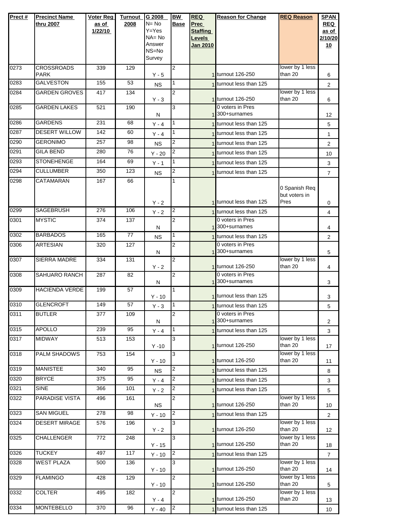| Prect# | <b>Precinct Name</b>            | Voter Reg | <b>Turnout</b> | G 2008                 | BW             | <b>REQ</b>                | <b>Reason for Change</b>                           | <b>REQ Reason</b>          | <b>SPAN</b>         |
|--------|---------------------------------|-----------|----------------|------------------------|----------------|---------------------------|----------------------------------------------------|----------------------------|---------------------|
|        | thru 2007                       | as of     | 2008           | $N = No$               | <b>Base</b>    | <b>Prec</b>               |                                                    |                            | <b>REQ</b>          |
|        |                                 | 1/22/10   |                | $Y = Yes$<br>$NA = No$ |                | <b>Staffing</b>           |                                                    |                            | as of               |
|        |                                 |           |                | Answer                 |                | Levels<br><b>Jan 2010</b> |                                                    |                            | 2/10/20<br>10       |
|        |                                 |           |                | NS=No                  |                |                           |                                                    |                            |                     |
|        |                                 |           |                | Survey                 |                |                           |                                                    |                            |                     |
| 0273   | <b>CROSSROADS</b>               | 339       | 129            |                        | 2              |                           |                                                    | lower by 1 less            |                     |
|        | <b>PARK</b>                     |           |                | $Y - 5$                |                |                           | 1 turnout 126-250                                  | than 20                    | 6                   |
| 0283   | <b>GALVESTON</b>                | 155       | 53             | <b>NS</b>              | 1              |                           | 1 turnout less than 125                            |                            | $\overline{2}$      |
| 0284   | <b>GARDEN GROVES</b>            | 417       | 134            | $Y - 3$                | $\overline{2}$ |                           | 1 turnout 126-250                                  | lower by 1 less<br>than 20 | 6                   |
| 0285   | <b>GARDEN LAKES</b>             | 521       | 190            |                        | 3              |                           | 0 voters in Pres                                   |                            |                     |
| 0286   | <b>GARDENS</b>                  | 231       | 68             | N                      | 1              |                           | 1 300+surnames<br>1 turnout less than 125          |                            | 12                  |
| 0287   | <b>DESERT WILLOW</b>            | 142       | 60             | $Y - 4$                | 1              |                           | 1 turnout less than 125                            |                            | 5                   |
| 0290   | <b>GERONIMO</b>                 | 257       | 98             | $Y - 4$                | 2              |                           |                                                    |                            | 1                   |
| 0291   | <b>GILA BEND</b>                | 280       | 76             | <b>NS</b>              | 2              |                           | 1 turnout less than 125<br>1 turnout less than 125 |                            | $\overline{2}$      |
| 0293   | <b>STONEHENGE</b>               | 164       | 69             | $Y - 20$               | 1              |                           | 1 turnout less than 125                            |                            | 10                  |
| 0294   | <b>CULLUMBER</b>                | 350       | 123            | $Y - 1$<br><b>NS</b>   | 2              |                           | 1 turnout less than 125                            |                            | 3<br>$\overline{7}$ |
| 0298   | CATAMARAN                       | 167       | 66             |                        | 1              |                           |                                                    |                            |                     |
|        |                                 |           |                |                        |                |                           |                                                    | 0 Spanish Req              |                     |
|        |                                 |           |                |                        |                |                           | 1 turnout less than 125                            | but voters in<br>Pres      |                     |
| 0299   | <b>SAGEBRUSH</b>                | 276       | 106            | $Y - 2$                | 2              |                           |                                                    |                            | 0                   |
| 0301   | <b>MYSTIC</b>                   | 374       | 137            | $Y - 2$                | 2              |                           | 1 turnout less than 125<br>0 voters in Pres        |                            | 4                   |
|        |                                 |           |                | Ν                      |                |                           | 1300+surnames                                      |                            | 4                   |
| 0302   | <b>BARBADOS</b>                 | 165       | 77             | <b>NS</b>              | 1              |                           | 1 turnout less than 125                            |                            | $\overline{2}$      |
| 0306   | <b>ARTESIAN</b>                 | 320       | 127            |                        | 2              |                           | 0 voters in Pres                                   |                            |                     |
| 0307   | SIERRA MADRE                    | 334       | 131            | Ν                      | 2              |                           | 1 300+surnames                                     | lower by 1 less            | 5                   |
|        |                                 |           |                | $Y - 2$                |                |                           | 1 turnout 126-250                                  | than 20                    | 4                   |
| 0308   | <b>SAHUARO RANCH</b>            | 287       | 82             |                        | 2              |                           | 0 voters in Pres                                   |                            |                     |
| 0309   | HACIENDA VERDE                  | 199       | 57             | Ν                      | 1              |                           | 300+surnames                                       |                            | 3                   |
|        |                                 |           |                | $Y - 10$               |                |                           | 1 turnout less than 125                            |                            | 3                   |
| 0310   | <b>GLENCROFT</b>                | 149       | 57             | $Y - 3$                | 1              |                           | 1 turnout less than 125                            |                            | 5                   |
| 0311   | <b>BUTLER</b>                   | 377       | 109            |                        | $\overline{2}$ |                           | 0 voters in Pres                                   |                            |                     |
| 0315   | <b>APOLLO</b>                   | 239       | 95             | N                      | 1              |                           | 300+surnames                                       |                            | 2                   |
| 0317   | <b>MIDWAY</b>                   | 513       | 153            | $Y - 4$                | 3              |                           | 1 turnout less than 125                            | lower by 1 less            | 3                   |
|        |                                 |           |                | $Y - 10$               |                |                           | 1 turnout 126-250                                  | than 20                    | 17                  |
| 0318   | <b>PALM SHADOWS</b>             | 753       | 154            |                        | 3              |                           |                                                    | lower by 1 less            |                     |
|        |                                 |           |                | $Y - 10$               |                |                           | 1 turnout 126-250                                  | than 20                    | 11                  |
| 0319   | <b>MANISTEE</b><br><b>BRYCE</b> | 340       | 95             | <b>NS</b>              | 2              |                           | 1 turnout less than 125                            |                            | 8                   |
| 0320   |                                 | 375       | 95             | $Y - 4$                | $\overline{2}$ |                           | 1 turnout less than 125                            |                            | 3                   |
| 0321   | <b>SINE</b>                     | 366       | 101            | $Y - 2$                | $\overline{2}$ |                           | 1 turnout less than 125                            |                            | 5                   |
| 0322   | <b>PARADISE VISTA</b>           | 496       | 161            | <b>NS</b>              | 2              |                           | 1 turnout 126-250                                  | lower by 1 less<br>than 20 | 10                  |
| 0323   | <b>SAN MIGUEL</b>               | 278       | 98             | $Y - 10$               | $\overline{2}$ |                           | 1 turnout less than 125                            |                            | $\overline{2}$      |
| 0324   | <b>DESERT MIRAGE</b>            | 576       | 196            |                        | 3              |                           |                                                    | lower by 1 less            |                     |
|        |                                 |           |                | $Y - 2$                |                |                           | 1 turnout 126-250                                  | than 20                    | 12                  |
| 0325   | <b>CHALLENGER</b>               | 772       | 248            | $Y - 15$               | 3              |                           | 1 turnout 126-250                                  | lower by 1 less<br>than 20 | 18                  |
| 0326   | <b>TUCKEY</b>                   | 497       | 117            | $Y - 10$               | $\overline{2}$ |                           | 1 turnout less than 125                            |                            | $\overline{7}$      |
| 0328   | <b>WEST PLAZA</b>               | 500       | 136            |                        | 3              |                           |                                                    | lower by 1 less            |                     |
|        |                                 |           |                | $Y - 10$               |                |                           | 1 turnout 126-250                                  | than 20                    | 14                  |
| 0329   | <b>FLAMINGO</b>                 | 428       | 129            |                        | $\overline{2}$ |                           |                                                    | lower by 1 less<br>than 20 |                     |
| 0332   | <b>COLTER</b>                   | 495       | 182            | $Y - 10$               | 2              |                           | 1 turnout 126-250                                  | lower by 1 less            | 5                   |
|        |                                 |           |                | $Y - 4$                |                |                           | 1 turnout 126-250                                  | than 20                    | 13                  |
| 0334   | <b>MONTEBELLO</b>               | 370       | 96             | $Y - 40$               | 2              |                           | 1 turnout less than 125                            |                            | 10                  |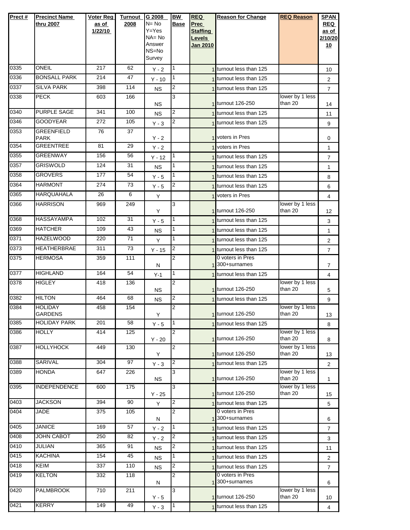| Prect# | <b>Precinct Name</b><br>thru 2007 | Voter Reg<br>as of<br>1/22/10 | <b>Turnout</b><br>2008 | G 2008<br>$N = No$<br>$Y = Yes$<br>$NA = No$<br>Answer<br>NS=No<br>Survey | <b>BW</b><br><b>Base</b> | <b>REQ</b><br>Prec<br><b>Staffing</b><br>Levels<br><b>Jan 2010</b> | <b>Reason for Change</b>                       | <b>REQ Reason</b>          | <b>SPAN</b><br><b>REQ</b><br>as of<br>2/10/20<br><u>10</u> |
|--------|-----------------------------------|-------------------------------|------------------------|---------------------------------------------------------------------------|--------------------------|--------------------------------------------------------------------|------------------------------------------------|----------------------------|------------------------------------------------------------|
| 0335   | ONEIL                             | 217                           | 62                     | $Y - 2$                                                                   | 1                        |                                                                    | 1 turnout less than 125                        |                            | 10                                                         |
| 0336   | <b>BONSALL PARK</b>               | 214                           | 47                     | $Y - 10$                                                                  | 1                        |                                                                    | 1 turnout less than 125                        |                            | 2                                                          |
| 0337   | <b>SILVA PARK</b>                 | 398                           | 114                    | <b>NS</b>                                                                 | 2                        |                                                                    | 1 turnout less than 125                        |                            | $\overline{7}$                                             |
| 0338   | <b>PECK</b>                       | 603                           | 166                    | <b>NS</b>                                                                 | 3                        |                                                                    | 1 turnout 126-250                              | lower by 1 less<br>than 20 | 14                                                         |
| 0340   | <b>PURPLE SAGE</b>                | 341                           | 100                    | <b>NS</b>                                                                 | 2                        |                                                                    | 1 turnout less than 125                        |                            | 11                                                         |
| 0346   | <b>GOODYEAR</b>                   | 272                           | 105                    | $Y - 3$                                                                   | 2                        |                                                                    | 1 turnout less than 125                        |                            | 9                                                          |
| 0353   | <b>GREENFIELD</b><br><b>PARK</b>  | 76                            | 37                     | $Y - 2$                                                                   |                          |                                                                    | 1 voters in Pres                               |                            | 0                                                          |
| 0354   | <b>GREENTREE</b>                  | 81                            | 29                     | $Y - 2$                                                                   |                          |                                                                    | 1 voters in Pres                               |                            | 1                                                          |
| 0355   | <b>GREENWAY</b>                   | 156                           | 56                     | $Y - 12$                                                                  | 1                        |                                                                    | 1 turnout less than 125                        |                            | $\overline{7}$                                             |
| 0357   | <b>GRISWOLD</b>                   | 124                           | 31                     | <b>NS</b>                                                                 | 1                        |                                                                    | 1 turnout less than 125                        |                            | 1                                                          |
| 0358   | <b>GROVERS</b>                    | 177                           | 54                     | $Y - 5$                                                                   | 1                        |                                                                    | 1 turnout less than 125                        |                            | 8                                                          |
| 0364   | <b>HARMONT</b>                    | 274                           | 73                     | $Y - 5$                                                                   | 2                        |                                                                    | 1 turnout less than 125                        |                            | 6                                                          |
| 0365   | <b>HARQUAHALA</b>                 | 26                            | 6                      | Y                                                                         |                          |                                                                    | 1 voters in Pres                               |                            | 4                                                          |
| 0366   | <b>HARRISON</b>                   | 969                           | 249                    | Y                                                                         | 3                        |                                                                    | 1 turnout 126-250                              | lower by 1 less<br>than 20 | 12                                                         |
| 0368   | <b>HASSAYAMPA</b>                 | 102                           | 31                     | $Y - 5$                                                                   | 1                        |                                                                    | 1 turnout less than 125                        |                            | 3                                                          |
| 0369   | <b>HATCHER</b>                    | 109                           | 43                     | <b>NS</b>                                                                 | 1                        |                                                                    | 1 turnout less than 125                        |                            | $\mathbf{1}$                                               |
| 0371   | <b>HAZELWOOD</b>                  | 220                           | 71                     | Y                                                                         | 1                        |                                                                    | 1 turnout less than 125                        |                            | $\overline{2}$                                             |
| 0373   | <b>HEATHERBRAE</b>                | 311                           | 73                     | $Y - 15$                                                                  | 2                        |                                                                    | 1 turnout less than 125                        |                            | $\overline{7}$                                             |
| 0375   | <b>HERMOSA</b>                    | 359                           | 111                    | N                                                                         | $\overline{2}$           |                                                                    | 0 voters in Pres<br>1 300+surnames             |                            | 7                                                          |
| 0377   | <b>HIGHLAND</b>                   | 164                           | 54                     | $Y-1$                                                                     | 1                        |                                                                    | 1 turnout less than 125                        |                            | 4                                                          |
| 0378   | <b>HIGLEY</b>                     | 418                           | 136                    | <b>NS</b>                                                                 | 2                        |                                                                    | 1 turnout 126-250                              | lower by 1 less<br>than 20 | 5                                                          |
| 0382   | <b>HILTON</b>                     | 464                           | 68                     | <b>NS</b>                                                                 | 2                        |                                                                    | 1 turnout less than 125                        |                            | 9                                                          |
| 0384   | <b>HOLIDAY</b><br><b>GARDENS</b>  | 458                           | 154                    | Y                                                                         | $\overline{2}$           |                                                                    | 1 turnout 126-250                              | lower by 1 less<br>than 20 | 13                                                         |
| 0385   | <b>HOLIDAY PARK</b>               | 201                           | 58                     | $Y - 5$                                                                   | 1                        |                                                                    | turnout less than 125                          |                            | 8                                                          |
| 0386   | <b>HOLLY</b>                      | 414                           | 125                    | $Y - 20$                                                                  | 2                        |                                                                    | 1 turnout 126-250                              | lower by 1 less<br>than 20 | 8                                                          |
| 0387   | <b>HOLLYHOCK</b>                  | 449                           | 130                    | Y                                                                         | 2                        |                                                                    | 1 turnout 126-250                              | lower by 1 less<br>than 20 | 13                                                         |
| 0388   | <b>SARIVAL</b>                    | 304                           | 97                     | $Y - 3$                                                                   | 2                        |                                                                    | 1 turnout less than 125                        |                            | $\overline{2}$                                             |
| 0389   | <b>HONDA</b>                      | 647                           | 226                    | <b>NS</b>                                                                 | 3                        |                                                                    | 1 turnout 126-250                              | lower by 1 less<br>than 20 | 1                                                          |
| 0395   | <b>INDEPENDENCE</b>               | 600                           | 175                    | $Y - 25$                                                                  | 3                        |                                                                    | 1 turnout 126-250                              | lower by 1 less<br>than 20 | 15                                                         |
| 0403   | <b>JACKSON</b>                    | 394                           | 90                     | Y                                                                         | 2                        |                                                                    | 1 turnout less than 125                        |                            | 5                                                          |
| 0404   | JADE                              | 375                           | 105                    | N                                                                         | 2                        |                                                                    | 0 voters in Pres<br>1 <sup>300+</sup> surnames |                            | 6                                                          |
| 0405   | <b>JANICE</b>                     | 169                           | 57                     | $Y - 2$                                                                   | 1                        |                                                                    | 1 turnout less than 125                        |                            | $\overline{7}$                                             |
| 0408   | JOHN CABOT                        | 250                           | 82                     | $Y - 2$                                                                   | 2                        |                                                                    | 1 turnout less than 125                        |                            | 3                                                          |
| 0410   | JULIAN                            | 365                           | 91                     | <b>NS</b>                                                                 | 2                        |                                                                    | 1 turnout less than 125                        |                            | 11                                                         |
| 0415   | <b>KACHINA</b>                    | 154                           | 45                     | <b>NS</b>                                                                 | 1                        |                                                                    | 1 turnout less than 125                        |                            | 2                                                          |
| 0418   | <b>KEIM</b>                       | 337                           | 110                    | <b>NS</b>                                                                 | 2                        |                                                                    | 1 turnout less than 125                        |                            | 7                                                          |
| 0419   | <b>KELTON</b>                     | 332                           | 118                    | N                                                                         | 2                        |                                                                    | 0 voters in Pres<br>1 300+surnames             |                            | 6                                                          |
| 0420   | <b>PALMBROOK</b>                  | 710                           | 211                    | $Y - 5$                                                                   | 3                        |                                                                    | 1 turnout 126-250                              | lower by 1 less<br>than 20 | 10                                                         |
| 0421   | <b>KERRY</b>                      | 149                           | 49                     | $Y - 3$                                                                   | $\mathbf{1}$             |                                                                    | 1 turnout less than 125                        |                            | $\overline{4}$                                             |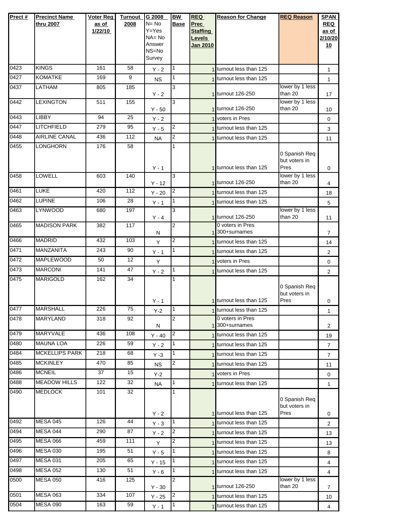| Prect# | <b>Precinct Name</b>  | Voter Reg | <b>Turnout</b> | G 2008                 | BW             | <b>REQ</b>                | <b>Reason for Change</b>              | <b>REQ Reason</b>              | <b>SPAN</b>      |
|--------|-----------------------|-----------|----------------|------------------------|----------------|---------------------------|---------------------------------------|--------------------------------|------------------|
|        | thru 2007             | as of     | 2008           | $N = No$               | Base           | Prec                      |                                       |                                | <b>REQ</b>       |
|        |                       | 1/22/10   |                | $Y = Yes$<br>$NA = No$ |                | <b>Staffing</b><br>Levels |                                       |                                | as of<br>2/10/20 |
|        |                       |           |                | Answer                 |                | <b>Jan 2010</b>           |                                       |                                | 10               |
|        |                       |           |                | NS=No                  |                |                           |                                       |                                |                  |
| 0423   | <b>KINGS</b>          | 161       | 58             | Survey                 |                |                           |                                       |                                |                  |
|        |                       |           |                | $Y - 2$                | 1              |                           | 1 turnout less than 125               |                                | 1                |
| 0427   | <b>KOMATKE</b>        | 169       | 9              | <b>NS</b>              | 1              |                           | 1 turnout less than 125               |                                | $\mathbf{1}$     |
| 0437   | LATHAM                | 805       | 185            | $Y - 2$                | 3              |                           | 1 turnout 126-250                     | lower by 1 less<br>than 20     | 17               |
| 0442   | <b>LEXINGTON</b>      | 511       | 155            | $Y - 50$               | 3              |                           | 1 turnout 126-250                     | lower by 1 less<br>than 20     | 10               |
| 0443   | <b>LIBBY</b>          | 94        | 25             | $Y - 2$                |                |                           | 1 voters in Pres                      |                                | 0                |
| 0447   | <b>LITCHFIELD</b>     | 279       | 95             | $Y - 5$                | 2              |                           | turnout less than 125                 |                                | 3                |
| 0448   | <b>AIRLINE CANAL</b>  | 436       | 112            | <b>NA</b>              | 2              |                           | 1 turnout less than 125               |                                | 11               |
| 0455   | <b>LONGHORN</b>       | 176       | 58             |                        |                |                           |                                       |                                |                  |
|        |                       |           |                |                        |                |                           |                                       | 0 Spanish Req                  |                  |
|        |                       |           |                | $Y - 1$                |                |                           | 1 turnout less than 125               | but voters in<br>Pres          | $\mathbf 0$      |
| 0458   | LOWELL                | 603       | 140            |                        | 3              |                           |                                       | lower by 1 less                |                  |
|        |                       |           |                | $Y - 12$               |                |                           | 1 turnout 126-250                     | than 20                        | 4                |
| 0461   | <b>LUKE</b>           | 420       | 112            | $Y - 20$               | 2              |                           | 1 turnout less than 125               |                                | 18               |
| 0462   | <b>LUPINE</b>         | 106       | 28             | $Y - 1$                | 1              |                           | 1 turnout less than 125               |                                | 5                |
| 0463   | <b>LYNWOOD</b>        | 680       | 197            |                        | 3              |                           |                                       | lower by 1 less                |                  |
|        |                       |           |                | $Y - 4$                | $\overline{2}$ |                           | 1 turnout 126-250<br>0 voters in Pres | than 20                        | 11               |
| 0465   | <b>MADISON PARK</b>   | 382       | 117            | Ν                      |                |                           | 1 <sup>300+surnames</sup>             |                                | 7                |
| 0466   | <b>MADRID</b>         | 432       | 103            | Y                      | 2              |                           | 1 turnout less than 125               |                                | 14               |
| 0471   | MANZANITA             | 243       | 90             | $Y - 1$                | 1              |                           | 1 turnout less than 125               |                                | 2                |
| 0472   | <b>MAPLEWOOD</b>      | 50        | 12             | Y                      |                |                           | 1 voters in Pres                      |                                | 0                |
| 0473   | <b>MARCONI</b>        | 141       | 47             | $Y - 2$                | 1              |                           | 1 turnout less than 125               |                                | 2                |
| 0475   | <b>MARIGOLD</b>       | 162       | 34             |                        | 1              |                           |                                       |                                |                  |
|        |                       |           |                |                        |                |                           |                                       | 0 Spanish Req                  |                  |
|        |                       |           |                |                        |                |                           | 1 turnout less than 125               | but voters in<br>Pres          |                  |
| 0477   | <b>MARSHALL</b>       | 226       | 75             | $Y - 1$<br>$Y-2$       | 1              |                           | 1 turnout less than 125               |                                | 0                |
| 0478   | <b>MARYLAND</b>       | 318       | 92             |                        | 2              |                           | 0 voters in Pres                      |                                | $\mathbf{1}$     |
|        |                       |           |                | N                      |                |                           | 1 300+surnames                        |                                | $\overline{2}$   |
| 0479   | <b>MARYVALE</b>       | 436       | 108            | $Y - 40$               | 2              |                           | 1 turnout less than 125               |                                | 19               |
| 0480   | <b>MAUNA LOA</b>      | 226       | 59             | $Y - 2$                | 1              |                           | 1 turnout less than 125               |                                | 7                |
| 0484   | <b>MCKELLIPS PARK</b> | 218       | 68             | $Y - 3$                | 1              |                           | 1 turnout less than 125               |                                | 7                |
| 0485   | <b>MCKINLEY</b>       | 470       | 85             | NS.                    | 2              |                           | 1 turnout less than 125               |                                | 11               |
| 0486   | <b>MCNEIL</b>         | 37        | 15             | $Y-2$                  |                |                           | 1 voters in Pres                      |                                | $\mathbf 0$      |
| 0488   | <b>MEADOW HILLS</b>   | 122       | 32             | <b>NA</b>              | 1              |                           | 1 turnout less than 125               |                                | 1                |
| 0490   | <b>MEDLOCK</b>        | 101       | 32             |                        | 1              |                           |                                       |                                |                  |
|        |                       |           |                |                        |                |                           |                                       | 0 Spanish Req<br>but voters in |                  |
|        |                       |           |                | $Y - 2$                |                |                           | 1 turnout less than 125               | Pres                           | 0                |
| 0492   | <b>MESA 045</b>       | 126       | 44             | $Y - 3$                | 1              |                           | 1 turnout less than 125               |                                | $\overline{2}$   |
| 0494   | MESA 044              | 290       | 87             | $Y - 2$                | 2              |                           | 1 turnout less than 125               |                                | 13               |
| 0495   | <b>MESA 066</b>       | 459       | 111            | Y                      | 2              |                           | 1 turnout less than 125               |                                | 13               |
| 0496   | <b>MESA 030</b>       | 195       | 51             | $Y - 5$                | 1              |                           | 1 turnout less than 125               |                                | 8                |
| 0497   | <b>MESA 031</b>       | 205       | 65             | $Y - 15$               | 1              |                           | 1 turnout less than 125               |                                | $\overline{4}$   |
| 0498   | <b>MESA 052</b>       | 130       | 51             | $Y - 6$                | 1              |                           | 1 turnout less than 125               |                                | 4                |
| 0500   | <b>MESA 050</b>       | 416       | 125            |                        | 2              |                           |                                       | lower by 1 less                |                  |
|        |                       |           |                | $Y - 30$               |                |                           | 1 turnout 126-250                     | than 20                        | $\overline{7}$   |
| 0501   | <b>MESA 063</b>       | 334       | 107            | $Y - 25$               | 2              |                           | 1 turnout less than 125               |                                | 10               |
| 0504   | <b>MESA 090</b>       | 163       | 59             | $Y - 1$                | $\mathbf{1}$   |                           | 1 turnout less than 125               |                                | $\overline{4}$   |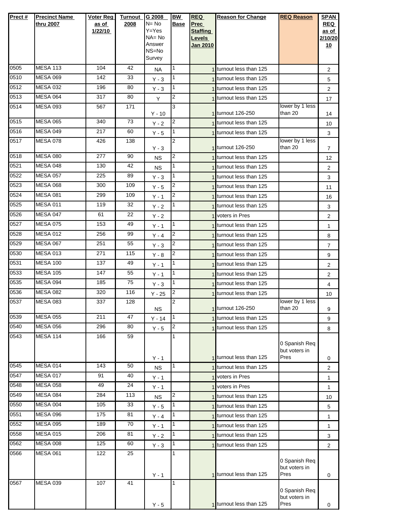| Prect# | <b>Precinct Name</b><br>thru 2007 | <b>Voter Reg</b><br>as of<br>1/22/10 | <b>Turnout</b><br>2008 | G 2008<br>$N = No$<br>$Y = Yes$<br>$NA = No$<br>Answer<br>NS=No<br>Survey | <b>BW</b><br><b>Base</b> | <b>REQ</b><br>Prec<br><b>Staffing</b><br>Levels<br><b>Jan 2010</b> | <b>Reason for Change</b>      | <b>REQ Reason</b>                      | <b>SPAN</b><br><b>REQ</b><br>as of<br>2/10/20<br><u>10</u> |
|--------|-----------------------------------|--------------------------------------|------------------------|---------------------------------------------------------------------------|--------------------------|--------------------------------------------------------------------|-------------------------------|----------------------------------------|------------------------------------------------------------|
| 0505   | <b>MESA 113</b>                   | 104                                  | 42                     | <b>NA</b>                                                                 | 1                        |                                                                    | 1 turnout less than 125       |                                        | 2                                                          |
| 0510   | <b>MESA 069</b>                   | 142                                  | 33                     | $Y - 3$                                                                   | 1                        |                                                                    | 1 turnout less than 125       |                                        | 5                                                          |
| 0512   | <b>MESA 032</b>                   | 196                                  | 80                     | $Y - 3$                                                                   | 1                        |                                                                    | turnout less than 125         |                                        | $\overline{2}$                                             |
| 0513   | <b>MESA 064</b>                   | 317                                  | 80                     | Y                                                                         | 2                        |                                                                    | 1 turnout less than 125       |                                        | 17                                                         |
| 0514   | <b>MESA 093</b>                   | 567                                  | 171                    | $Y - 10$                                                                  | 3                        |                                                                    | 1 turnout 126-250             | lower by 1 less<br>than 20             | 14                                                         |
| 0515   | <b>MESA 065</b>                   | 340                                  | 73                     | $Y - 2$                                                                   | 2                        |                                                                    | 1 turnout less than 125       |                                        | 10                                                         |
| 0516   | <b>MESA 049</b>                   | 217                                  | 60                     | $Y - 5$                                                                   | 1                        |                                                                    | 1 turnout less than 125       |                                        | 3                                                          |
| 0517   | <b>MESA 078</b>                   | 426                                  | 138                    | $Y - 3$                                                                   | $\overline{2}$           |                                                                    | 1 turnout 126-250             | lower by 1 less<br>than 20             | 7                                                          |
| 0518   | <b>MESA 080</b>                   | 277                                  | 90                     | <b>NS</b>                                                                 | 2                        |                                                                    | 1 turnout less than 125       |                                        | 12                                                         |
| 0521   | <b>MESA 048</b>                   | 130                                  | 42                     | NS.                                                                       | 1                        |                                                                    | 1 turnout less than 125       |                                        | 2                                                          |
| 0522   | <b>MESA 057</b>                   | 225                                  | 89                     | $Y - 3$                                                                   | 1                        |                                                                    | <b>Iturnout less than 125</b> |                                        | 3                                                          |
| 0523   | <b>MESA 068</b>                   | 300                                  | 109                    | $Y - 5$                                                                   | 2                        |                                                                    | 1 turnout less than 125       |                                        | 11                                                         |
| 0524   | <b>MESA 081</b>                   | 299                                  | 109                    | $Y - 1$                                                                   | 2                        |                                                                    | 1 turnout less than 125       |                                        | 16                                                         |
| 0525   | <b>MESA 011</b>                   | 119                                  | 32                     | $Y - 2$                                                                   | 1                        |                                                                    | 1 turnout less than 125       |                                        | 3                                                          |
| 0526   | <b>MESA 047</b>                   | 61                                   | 22                     | $Y - 2$                                                                   |                          |                                                                    | 1 voters in Pres              |                                        | 2                                                          |
| 0527   | <b>MESA 075</b>                   | 153                                  | 49                     | $Y - 1$                                                                   | 1                        |                                                                    | 1 turnout less than 125       |                                        | $\mathbf{1}$                                               |
| 0528   | <b>MESA 012</b>                   | 256                                  | 99                     | $Y - 4$                                                                   | 2                        |                                                                    | 1 turnout less than 125       |                                        | 8                                                          |
| 0529   | <b>MESA 067</b>                   | 251                                  | 55                     | $Y - 3$                                                                   | 2                        |                                                                    | 1 turnout less than 125       |                                        | $\overline{7}$                                             |
| 0530   | <b>MESA 013</b>                   | 271                                  | 115                    | $Y - 8$                                                                   | 2                        |                                                                    | 1 turnout less than 125       |                                        | 9                                                          |
| 0531   | <b>MESA 100</b>                   | 137                                  | 49                     | $Y - 1$                                                                   | 1                        |                                                                    | 1 turnout less than 125       |                                        | 2                                                          |
| 0533   | <b>MESA 105</b>                   | 147                                  | 55                     | $Y - 1$                                                                   | 1                        |                                                                    | 1 turnout less than 125       |                                        | $\overline{2}$                                             |
| 0535   | <b>MESA 094</b>                   | 185                                  | 75                     | $Y - 3$                                                                   | 1                        |                                                                    | turnout less than 125         |                                        | 4                                                          |
| 0536   | <b>MESA 082</b>                   | 320                                  | 116                    | $Y - 25$                                                                  | 2                        |                                                                    | 1 turnout less than 125       |                                        | 10                                                         |
| 0537   | <b>MESA 083</b>                   | 337                                  | 128                    | <b>NS</b>                                                                 | 2                        |                                                                    | 1 turnout 126-250             | lower by 1 less<br>than 20             | 9                                                          |
| 0539   | <b>MESA 055</b>                   | 211                                  | 47                     | $Y - 14$                                                                  | 1                        |                                                                    | 1 turnout less than 125       |                                        | 9                                                          |
| 0540   | <b>MESA 056</b>                   | 296                                  | 80                     | $Y - 5$                                                                   | 2                        |                                                                    | 1 turnout less than 125       |                                        | 8                                                          |
| 0543   | <b>MESA 114</b>                   | 166                                  | 59                     | $Y - 1$                                                                   | 1                        |                                                                    | 1 turnout less than 125       | 0 Spanish Req<br>but voters in<br>Pres | 0                                                          |
| 0545   | <b>MESA 014</b>                   | 143                                  | 50                     | <b>NS</b>                                                                 | $\mathbf{1}$             |                                                                    | 1 turnout less than 125       |                                        | 2                                                          |
| 0547   | <b>MESA 017</b>                   | 91                                   | 40                     | $Y - 1$                                                                   |                          |                                                                    | 1 voters in Pres              |                                        | 1                                                          |
| 0548   | <b>MESA 058</b>                   | 49                                   | $\overline{24}$        | $Y - 1$                                                                   |                          |                                                                    | 1 voters in Pres              |                                        | $\mathbf{1}$                                               |
| 0549   | <b>MESA 084</b>                   | 284                                  | 113                    | <b>NS</b>                                                                 | 2                        |                                                                    | 1 turnout less than 125       |                                        | 10                                                         |
| 0550   | <b>MESA 004</b>                   | 105                                  | 33                     | $Y - 5$                                                                   | 1                        |                                                                    | 1 turnout less than 125       |                                        | 5                                                          |
| 0551   | <b>MESA 096</b>                   | 175                                  | 81                     | $Y - 4$                                                                   | 1                        |                                                                    | 1 turnout less than 125       |                                        | 1                                                          |
| 0552   | <b>MESA 095</b>                   | 189                                  | 70                     | $Y - 1$                                                                   | 1                        |                                                                    | turnout less than 125         |                                        | 1                                                          |
| 0558   | <b>MESA 015</b>                   | 206                                  | 81                     | $Y - 2$                                                                   | 1                        |                                                                    | 1 turnout less than 125       |                                        | 3                                                          |
| 0562   | <b>MESA 008</b>                   | 125                                  | 60                     | $Y - 3$                                                                   | 1                        |                                                                    | 1 turnout less than 125       |                                        | $\overline{2}$                                             |
| 0566   | <b>MESA 061</b>                   | 122                                  | 25                     | Y - 1                                                                     | 1                        |                                                                    | 1 turnout less than 125       | 0 Spanish Req<br>but voters in<br>Pres | 0                                                          |
| 0567   | <b>MESA 039</b>                   | 107                                  | 41                     | $Y - 5$                                                                   | 1                        |                                                                    | 1 turnout less than 125       | 0 Spanish Req<br>but voters in<br>Pres | 0                                                          |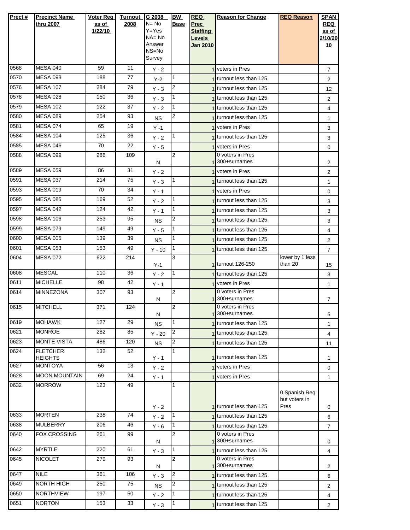| Prect#       | <b>Precinct Name</b> | Voter Reg | <b>Turnout</b>  | G 2008           | BW             | <b>REQ</b>         | <b>Reason for Change</b>             | <b>REQ Reason</b>              | <b>SPAN</b>    |
|--------------|----------------------|-----------|-----------------|------------------|----------------|--------------------|--------------------------------------|--------------------------------|----------------|
|              | thru 2007            | as of     | 2008            | $N = No$         | Base           | <b>Prec</b>        |                                      |                                | <b>REQ</b>     |
|              |                      | 1/22/10   |                 | Y=Yes            |                | <b>Staffing</b>    |                                      |                                | as of          |
|              |                      |           |                 | NA= No<br>Answer |                | Levels<br>Jan 2010 |                                      |                                | 2/10/20<br>10  |
|              |                      |           |                 | NS=No            |                |                    |                                      |                                |                |
|              |                      |           |                 | Survey           |                |                    |                                      |                                |                |
| 0568         | <b>MESA 040</b>      | 59        | 11              | $Y - 2$          |                |                    | 1 voters in Pres                     |                                | 7              |
| 0570         | <b>MESA 098</b>      | 188       | 77              | $Y-2$            | 1              |                    | 1 turnout less than 125              |                                | 2              |
| 0576         | <b>MESA 107</b>      | 284       | 79              | $Y - 3$          | 2              |                    | 1 turnout less than 125              |                                | 12             |
| 0578         | <b>MESA 028</b>      | 150       | 36              | $Y - 3$          | 1              |                    | 1 turnout less than 125              |                                | 2              |
| 0579         | <b>MESA 102</b>      | 122       | 37              | $Y - 2$          | 1              |                    | 1 turnout less than 125              |                                | 4              |
| 0580         | <b>MESA 089</b>      | 254       | 93              | <b>NS</b>        | 2              |                    | 1 turnout less than 125              |                                | $\mathbf{1}$   |
| 0581         | <b>MESA 074</b>      | 65        | 19              | $Y - 1$          |                |                    | 1 voters in Pres                     |                                | 3              |
| 0584         | <b>MESA 104</b>      | 125       | 36              | $Y - 2$          | $\mathbf{1}$   |                    | 1 turnout less than 125              |                                | 3              |
| 0585         | <b>MESA 046</b>      | 70        | 22              | $Y - 5$          |                |                    | 1 voters in Pres                     |                                | 0              |
| 0588         | <b>MESA 099</b>      | 286       | 109             | N                | 2              |                    | 0 voters in Pres<br>1 300+surnames   |                                | 2              |
| 0589         | <b>MESA 059</b>      | 86        | 31              | $Y - 2$          |                |                    | 1 voters in Pres                     |                                | 2              |
| 0591         | <b>MESA 037</b>      | 214       | 75              | $Y - 3$          | 1              |                    | 1 turnout less than 125              |                                | $\mathbf{1}$   |
| 0593         | <b>MESA 019</b>      | 70        | 34              | Y - 1            |                |                    | 1 voters in Pres                     |                                | 0              |
| 0595         | <b>MESA 085</b>      | 169       | 52              | $Y - 2$          | 1              |                    | 1 turnout less than 125              |                                | 3              |
| 0597         | MESA 042             | 124       | 42              | $Y - 1$          | $\mathbf{1}$   |                    | 1 turnout less than 125              |                                | 3              |
| 0598         | <b>MESA 106</b>      | 253       | 95              | <b>NS</b>        | 2              |                    | 1 turnout less than 125              |                                | 3              |
| 0599         | <b>MESA 079</b>      | 149       | 49              | $Y - 5$          | 1              |                    | 1 turnout less than 125              |                                | 4              |
| 0600         | <b>MESA 005</b>      | 139       | 39              | <b>NS</b>        | 1              |                    | 1 turnout less than 125              |                                | 2              |
| 0601         | <b>MESA 053</b>      | 153       | 49              | $Y - 10$         | 1              |                    | 1 turnout less than 125              |                                | $\overline{7}$ |
| 0604         | <b>MESA 072</b>      | 622       | 214             |                  | 3              |                    |                                      | lower by 1 less                |                |
|              | <b>MESCAL</b>        | 110       | 36              | $Y-1$            | 1              |                    | 1 turnout 126-250                    | than 20                        | 15             |
| 0608<br>0611 | <b>MICHELLE</b>      | 98        | 42              | $Y - 2$          |                |                    | 1 turnout less than 125              |                                | 3              |
| 0614         | <b>MINNEZONA</b>     | 307       | 93              | $Y - 1$          | 2              |                    | 1 voters in Pres<br>0 voters in Pres |                                | 1              |
|              |                      |           |                 | N                |                |                    | 1 300+surnames                       |                                | $\overline{7}$ |
| 0615         | <b>MITCHELL</b>      | 371       | 124             |                  | $\overline{2}$ |                    | 0 voters in Pres                     |                                |                |
| 0619         | <b>MOHAWK</b>        | 127       | 29              | N                | $\mathbf{1}$   |                    | 1 <sup>300+surnames</sup>            |                                | 5              |
| 0621         | <b>MONROE</b>        | 282       | 85              | NS.              | 2              |                    | 1 turnout less than 125              |                                | $\mathbf{1}$   |
| 0623         | <b>MONTE VISTA</b>   | 486       | 120             | $Y - 20$         | $\overline{2}$ |                    | 1 turnout less than 125              |                                | $\overline{4}$ |
| 0624         | <b>FLETCHER</b>      | 132       | 52              | <b>NS</b>        |                |                    | 1 turnout less than 125              |                                | 11             |
|              | <b>HEIGHTS</b>       |           |                 | $Y - 1$          |                |                    | 1 turnout less than 125              |                                | 1              |
| 0627         | <b>MONTOYA</b>       | 56        | 13              | $Y - 2$          |                |                    | 1 voters in Pres                     |                                | 0              |
| 0628         | <b>MOON MOUNTAIN</b> | 69        | $\overline{24}$ | $Y - 1$          |                |                    | 1 voters in Pres                     |                                | $\mathbf{1}$   |
| 0632         | <b>MORROW</b>        | 123       | 49              |                  | 1              |                    |                                      |                                |                |
|              |                      |           |                 |                  |                |                    |                                      | 0 Spanish Req<br>but voters in |                |
|              |                      |           |                 | $Y - 2$          |                |                    | 1 turnout less than 125              | Pres                           | 0              |
| 0633         | <b>MORTEN</b>        | 238       | 74              | $Y - 2$          |                |                    | 1 turnout less than 125              |                                | 6              |
| 0638         | <b>MULBERRY</b>      | 206       | 46              | $Y - 6$          | 1              |                    | 1 turnout less than 125              |                                | 7              |
| 0640         | <b>FOX CROSSING</b>  | 261       | 99              |                  | 2              |                    | 0 voters in Pres<br>1 300+surnames   |                                |                |
| 0642         | <b>MYRTLE</b>        | 220       | 61              | N<br>$Y - 3$     | 1              |                    | 1 turnout less than 125              |                                | 0              |
| 0645         | <b>NICOLET</b>       | 279       | 93              |                  | $\overline{2}$ |                    | 0 voters in Pres                     |                                | 4              |
|              |                      |           |                 | N                |                |                    | 1 <sup>300+surnames</sup>            |                                | 2              |
| 0647         | <b>NILE</b>          | 361       | 106             | $Y - 3$          | $\overline{2}$ |                    | 1 turnout less than 125              |                                | 6              |
| 0649         | NORTH HIGH           | 250       | 75              | <b>NS</b>        | 2              |                    | 1 turnout less than 125              |                                | $\overline{2}$ |
| 0650         | <b>NORTHVIEW</b>     | 197       | 50              | $Y - 2$          | 1              |                    | 1 turnout less than 125              |                                | 4              |
| 0651         | <b>NORTON</b>        | 153       | 33              | $Y - 3$          |                |                    | 1 turnout less than 125              |                                | $\overline{2}$ |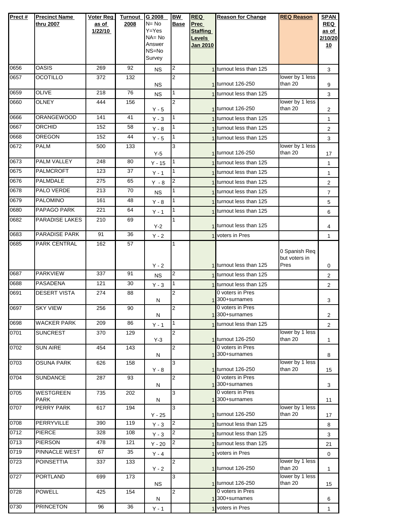| Prect# | <b>Precinct Name</b>  | Voter Reg | <b>Turnout</b> | G 2008          | <b>BW</b>      | <b>REQ</b>      | <b>Reason for Change</b>              | <b>REQ Reason</b>          | <b>SPAN</b>    |
|--------|-----------------------|-----------|----------------|-----------------|----------------|-----------------|---------------------------------------|----------------------------|----------------|
|        | thru 2007             | as of     | 2008           | $N = No$        | Base           | Prec            |                                       |                            | <b>REQ</b>     |
|        |                       | 1/22/10   |                | $Y = Yes$       |                | <b>Staffing</b> |                                       |                            | as of          |
|        |                       |           |                | $NA = No$       |                | Levels          |                                       |                            | 2/10/20        |
|        |                       |           |                | Answer<br>NS=No |                | <b>Jan 2010</b> |                                       |                            | 10             |
|        |                       |           |                | Survey          |                |                 |                                       |                            |                |
| 0656   | <b>OASIS</b>          | 269       | 92             | <b>NS</b>       | 2              |                 | 1 turnout less than 125               |                            | 3              |
| 0657   | OCOTILLO              | 372       | 132            |                 | $\overline{2}$ |                 |                                       | lower by 1 less            |                |
|        |                       |           |                | <b>NS</b>       |                |                 | 1 turnout 126-250                     | than 20                    | 9              |
| 0659   | <b>OLIVE</b>          | 218       | 76             | <b>NS</b>       | 1              |                 | 1 turnout less than 125               |                            | 3              |
| 0660   | <b>OLNEY</b>          | 444       | 156            | $Y - 5$         | $\overline{2}$ |                 | 1 turnout 126-250                     | lower by 1 less<br>than 20 | $\overline{2}$ |
| 0666   | <b>ORANGEWOOD</b>     | 141       | 41             | $Y - 3$         | 1              |                 | 1 turnout less than 125               |                            | 1              |
| 0667   | <b>ORCHID</b>         | 152       | 58             | $Y - 8$         | 1              |                 | turnout less than 125                 |                            | 2              |
| 0668   | <b>OREGON</b>         | 152       | 44             | $Y - 5$         | 1              |                 | 1 turnout less than 125               |                            | 3              |
| 0672   | <b>PALM</b>           | 500       | 133            |                 | 3              |                 |                                       | lower by 1 less            |                |
|        |                       |           |                | $Y-5$           |                |                 | 1 turnout 126-250                     | than 20                    | 17             |
| 0673   | PALM VALLEY           | 248       | 80             | $Y - 15$        | 1              |                 | 1 turnout less than 125               |                            | 1              |
| 0675   | <b>PALMCROFT</b>      | 123       | 37             | $Y - 1$         | 1              |                 | 1 turnout less than 125               |                            | 1              |
| 0676   | <b>PALMDALE</b>       | 275       | 65             | $Y - 8$         | 2              |                 | 1 turnout less than 125               |                            | $\overline{2}$ |
| 0678   | PALO VERDE            | 213       | 70             | <b>NS</b>       | 1              |                 | 1 turnout less than 125               |                            | $\overline{7}$ |
| 0679   | <b>PALOMINO</b>       | 161       | 48             | $Y - 8$         | 1              |                 | 1 turnout less than 125               |                            | 5              |
| 0680   | PAPAGO PARK           | 221       | 64             | $Y - 1$         | 1              |                 | 1 turnout less than 125               |                            | 6              |
| 0682   | <b>PARADISE LAKES</b> | 210       | 69             |                 | 1              |                 | 1 turnout less than 125               |                            |                |
| 0683   | PARADISE PARK         | 91        | 36             | $Y-2$           |                |                 | 1 voters in Pres                      |                            | 4              |
| 0685   | PARK CENTRAL          | 162       | 57             | $Y - 2$         | 1              |                 |                                       |                            | 1              |
|        |                       |           |                |                 |                |                 |                                       | 0 Spanish Req              |                |
|        |                       |           |                |                 |                |                 |                                       | but voters in              |                |
|        |                       |           |                | $Y - 2$         |                |                 | 1 turnout less than 125               | Pres                       | 0              |
| 0687   | <b>PARKVIEW</b>       | 337       | 91             | <b>NS</b>       | 2              |                 | 1 turnout less than 125               |                            | 2              |
| 0688   | <b>PASADENA</b>       | 121       | 30             | $Y - 3$         | 1              |                 | 1 turnout less than 125               |                            | 2              |
| 0691   | <b>DESERT VISTA</b>   | 274       | 88             |                 | 2              |                 | 0 voters in Pres<br>1300+surnames     |                            |                |
| 0697   | <b>SKY VIEW</b>       | 256       | 90             | N               | 2              |                 | 0 voters in Pres                      |                            | 3              |
|        |                       |           |                | N               |                |                 | 1 <sup>300+surnames</sup>             |                            | $\overline{2}$ |
| 0698   | <b>WACKER PARK</b>    | 209       | 86             | $Y - 1$         | 1              |                 | 1 turnout less than 125               |                            | $\overline{2}$ |
| 0701   | <b>SUNCREST</b>       | 370       | 129            |                 | 2              |                 |                                       | lower by 1 less            |                |
| 0702   |                       |           |                | $Y-3$           |                |                 | 1 turnout 126-250<br>0 voters in Pres | than 20                    | 1              |
|        | <b>SUN AIRE</b>       | 454       | 143            | N               | 2              |                 | 1300+surnames                         |                            | 8              |
| 0703   | <b>OSUNA PARK</b>     | 626       | 158            |                 | 3              |                 |                                       | lower by 1 less            |                |
|        |                       |           |                | $Y - 8$         |                |                 | 1 turnout 126-250                     | than 20                    | 15             |
| 0704   | <b>SUNDANCE</b>       | 287       | 93             | Ν               | $\overline{2}$ |                 | 0 voters in Pres<br>1300+surnames     |                            | 3              |
| 0705   | <b>WESTGREEN</b>      | 735       | 202            |                 | 3              |                 | 0 voters in Pres                      |                            |                |
|        | <b>PARK</b>           |           |                | N               |                |                 | 1 300+surnames                        |                            | 11             |
| 0707   | <b>PERRY PARK</b>     | 617       | 194            |                 | 3              |                 | 1 turnout 126-250                     | lower by 1 less<br>than 20 |                |
| 0708   | <b>PERRYVILLE</b>     | 390       | 119            | $Y - 25$        | 2              |                 | 1 turnout less than 125               |                            | 17             |
| 0712   | <b>PIERCE</b>         | 328       | 108            | $Y - 3$         | 2              |                 |                                       |                            | 8              |
| 0713   | <b>PIERSON</b>        | 478       | 121            | $Y - 3$         | 2              |                 | 1 turnout less than 125               |                            | 3              |
| 0719   | PINNACLE WEST         | 67        | 35             | $Y - 20$        |                |                 | 1 turnout less than 125               |                            | 21             |
| 0723   | <b>POINSETTIA</b>     | 337       | 133            | $Y - 4$         | 2              |                 | voters in Pres                        | lower by 1 less            | $\mathbf 0$    |
|        |                       |           |                | $Y - 2$         |                |                 | 1 turnout 126-250                     | than 20                    | 1              |
| 0727   | <b>PORTLAND</b>       | 699       | 173            |                 | 3              |                 |                                       | lower by 1 less            |                |
|        |                       |           |                | NS.             |                |                 | 1 turnout 126-250                     | than 20                    | 15             |
| 0728   | <b>POWELL</b>         | 425       | 154            | N               | 2              |                 | 0 voters in Pres<br>1300+surnames     |                            | 6              |
| 0730   | <b>PRINCETON</b>      | 96        | 36             | $Y - 1$         |                |                 | 1 voters in Pres                      |                            | 1              |
|        |                       |           |                |                 |                |                 |                                       |                            |                |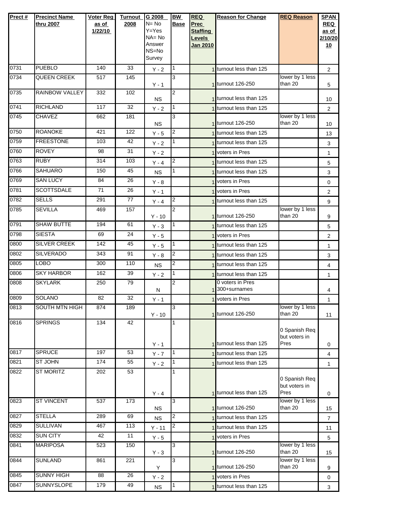| Prect# | <b>Precinct Name</b><br>thru 2007 | Voter Reg<br>as of<br>1/22/10 | Turnout<br>2008 | G 2008<br>$N = No$<br>$Y = Yes$<br>$NA = No$<br>Answer<br>NS=No<br>Survey | <b>BW</b><br><b>Base</b> | <b>REQ</b><br><b>Prec</b><br><b>Staffing</b><br>Levels<br>Jan 2010 | <b>Reason for Change</b>         | <b>REQ Reason</b>                      | <b>SPAN</b><br>REQ<br>as of<br>2/10/20<br>10 |
|--------|-----------------------------------|-------------------------------|-----------------|---------------------------------------------------------------------------|--------------------------|--------------------------------------------------------------------|----------------------------------|----------------------------------------|----------------------------------------------|
| 0731   | <b>PUEBLO</b>                     | 140                           | 33              | $Y - 2$                                                                   | $\vert$ 1                |                                                                    | 1 turnout less than 125          |                                        | $\overline{2}$                               |
| 0734   | <b>QUEEN CREEK</b>                | 517                           | 145             | $Y - 1$                                                                   | 3                        |                                                                    | 1 turnout 126-250                | lower by 1 less<br>than 20             | 5                                            |
| 0735   | RAINBOW VALLEY                    | 332                           | 102             | <b>NS</b>                                                                 | 2                        |                                                                    | 1 turnout less than 125          |                                        | 10                                           |
| 0741   | <b>RICHLAND</b>                   | 117                           | 32              | $Y - 2$                                                                   | $\mathbf{1}$             |                                                                    | 1 turnout less than 125          |                                        | $\overline{2}$                               |
| 0745   | CHAVEZ                            | 662                           | 181             | NS.                                                                       | 3                        |                                                                    | 1 turnout 126-250                | lower by 1 less<br>than 20             | 10                                           |
| 0750   | <b>ROANOKE</b>                    | 421                           | 122             | $Y - 5$                                                                   | $\overline{c}$           |                                                                    | 1 turnout less than 125          |                                        | 13                                           |
| 0759   | <b>FREESTONE</b>                  | 103                           | 42              | $Y - 2$                                                                   | 1                        |                                                                    | 1 turnout less than 125          |                                        | 3                                            |
| 0760   | <b>ROVEY</b>                      | 98                            | 31              | $Y - 2$                                                                   |                          |                                                                    | 1 voters in Pres                 |                                        | $\mathbf{1}$                                 |
| 0763   | <b>RUBY</b>                       | 314                           | 103             | $Y - 4$                                                                   | $\overline{2}$           |                                                                    | 1 turnout less than 125          |                                        | 5                                            |
| 0766   | <b>SAHUARO</b>                    | 150                           | 45              | <b>NS</b>                                                                 | $\mathbf{1}$             |                                                                    | 1 turnout less than 125          |                                        | 3                                            |
| 0769   | <b>SAN LUCY</b>                   | 84                            | 26              | $Y - 8$                                                                   |                          |                                                                    | 1 voters in Pres                 |                                        | 0                                            |
| 0781   | <b>SCOTTSDALE</b>                 | 71                            | 26              | $Y - 1$                                                                   |                          |                                                                    | voters in Pres                   |                                        | $\overline{2}$                               |
| 0782   | <b>SELLS</b>                      | 291                           | 77              | $Y - 4$                                                                   | $\overline{2}$           |                                                                    | turnout less than 125            |                                        | 9                                            |
| 0785   | <b>SEVILLA</b>                    | 469                           | 157             | $Y - 10$                                                                  | $\overline{2}$           |                                                                    | 1 turnout 126-250                | lower by 1 less<br>than 20             | 9                                            |
| 0791   | <b>SHAW BUTTE</b>                 | 194                           | 61              | $Y - 3$                                                                   | $\overline{1}$           |                                                                    | 1 turnout less than 125          |                                        | 5                                            |
| 0798   | <b>SIESTA</b>                     | 69                            | 24              | $Y - 5$                                                                   |                          |                                                                    | voters in Pres                   |                                        | $\overline{2}$                               |
| 0800   | <b>SILVER CREEK</b>               | 142                           | 45              | $Y - 5$                                                                   | 1                        |                                                                    | turnout less than 125            |                                        | $\mathbf{1}$                                 |
| 0802   | <b>SILVERADO</b>                  | 343                           | 91              | $Y - 8$                                                                   | $\overline{2}$           |                                                                    | 1 turnout less than 125          |                                        | 3                                            |
| 0805   | <b>LOBO</b>                       | 300                           | 110             | <b>NS</b>                                                                 | 2                        |                                                                    | 1 turnout less than 125          |                                        | 4                                            |
| 0806   | <b>SKY HARBOR</b>                 | 162                           | 39              | $Y - 2$                                                                   | $\mathbf{1}$             |                                                                    | 1 turnout less than 125          |                                        | $\mathbf{1}$                                 |
| 0808   | <b>SKYLARK</b>                    | 250                           | 79              | N                                                                         | $\overline{2}$           |                                                                    | 0 voters in Pres<br>300+surnames |                                        | 4                                            |
| 0809   | <b>SOLANO</b>                     | 82                            | 32              | $Y - 1$                                                                   |                          |                                                                    | 1 voters in Pres                 |                                        | $\mathbf{1}$                                 |
| 0813   | SOUTH MTN HIGH                    | 874                           | 189             | $Y - 10$                                                                  | l3                       |                                                                    | 1 turnout 126-250                | lower by 1 less<br>than 20             | 11                                           |
| 0816   | <b>SPRINGS</b>                    | 134                           | 42              | $Y - 1$                                                                   | 1                        |                                                                    | 1 turnout less than 125          | 0 Spanish Req<br>but voters in<br>Pres | 0                                            |
| 0817   | <b>SPRUCE</b>                     | 197                           | 53              | $Y - 7$                                                                   | I1.                      |                                                                    | turnout less than 125            |                                        | 4                                            |
| 0821   | ST JOHN                           | 174                           | 55              | $Y - 2$                                                                   | $\overline{1}$           |                                                                    | 1 turnout less than 125          |                                        | $\mathbf{1}$                                 |
| 0822   | <b>ST MORITZ</b>                  | 202                           | 53              | $Y - 4$                                                                   |                          |                                                                    | 1 turnout less than 125          | 0 Spanish Req<br>but voters in<br>Pres | 0                                            |
| 0823   | <b>ST VINCENT</b>                 | 537                           | 173             | <b>NS</b>                                                                 | 3                        |                                                                    | 1 turnout 126-250                | lower by 1 less<br>than 20             | 15                                           |
| 0827   | <b>STELLA</b>                     | 289                           | 69              | <b>NS</b>                                                                 | $\overline{2}$           |                                                                    | 1 turnout less than 125          |                                        | $\overline{7}$                               |
| 0829   | <b>SULLIVAN</b>                   | 467                           | 113             | $Y - 11$                                                                  | $\overline{c}$           |                                                                    | 1 turnout less than 125          |                                        | 11                                           |
| 0832   | <b>SUN CITY</b>                   | 42                            | 11              | $Y - 5$                                                                   |                          |                                                                    | 1 voters in Pres                 |                                        | 5                                            |
| 0841   | <b>MARIPOSA</b>                   | 523                           | 150             | $Y - 3$                                                                   | 3                        |                                                                    | 1 turnout 126-250                | lower by 1 less<br>than 20             | 15                                           |
| 0844   | <b>SUNLAND</b>                    | 861                           | 221             | Υ                                                                         | 3                        |                                                                    | 1 turnout 126-250                | lower by 1 less<br>than 20             | 9                                            |
| 0845   | <b>SUNNY HIGH</b>                 | 88                            | 26              | $Y - 2$                                                                   |                          |                                                                    | 1 voters in Pres                 |                                        | 0                                            |
| 0847   | SUNNYSLOPE                        | 179                           | 49              | <b>NS</b>                                                                 | $\overline{1}$           |                                                                    | turnout less than 125            |                                        | 3                                            |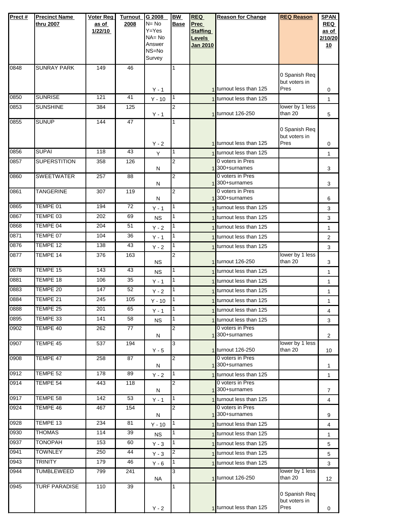| Prect# | <b>Precinct Name</b> | <b>Voter Reg</b> | <b>Turnout</b>  | G 2008                 | BW             | <b>REQ</b>                       | <b>Reason for Change</b>           | <b>REQ Reason</b>          | <b>SPAN</b>    |
|--------|----------------------|------------------|-----------------|------------------------|----------------|----------------------------------|------------------------------------|----------------------------|----------------|
|        | thru 2007            | as of            | 2008            | $N = No$               | <b>Base</b>    | <b>Prec</b>                      |                                    |                            | <b>REQ</b>     |
|        |                      | 1/22/10          |                 | $Y = Yes$<br>$NA = No$ |                | <b>Staffing</b>                  |                                    |                            | as of          |
|        |                      |                  |                 | Answer                 |                | <b>Levels</b><br><b>Jan 2010</b> |                                    |                            | 2/10/20<br>10  |
|        |                      |                  |                 | NS=No                  |                |                                  |                                    |                            |                |
|        |                      |                  |                 | Survey                 |                |                                  |                                    |                            |                |
| 0848   | <b>SUNRAY PARK</b>   | 149              | 46              |                        | 1              |                                  |                                    |                            |                |
|        |                      |                  |                 |                        |                |                                  |                                    | 0 Spanish Req              |                |
|        |                      |                  |                 |                        |                |                                  | 1 turnout less than 125            | but voters in<br>Pres      |                |
| 0850   | <b>SUNRISE</b>       |                  | 41              | $Y - 1$                | $\mathbf{1}$   |                                  |                                    |                            | 0              |
|        |                      | 121              |                 | $Y - 10$               |                |                                  | turnout less than 125              |                            | 1              |
| 0853   | <b>SUNSHINE</b>      | 384              | 125             | $Y - 1$                | 2              |                                  | 1 turnout 126-250                  | lower by 1 less<br>than 20 | 5              |
| 0855   | <b>SUNUP</b>         | 144              | 47              |                        |                |                                  |                                    |                            |                |
|        |                      |                  |                 |                        |                |                                  |                                    | 0 Spanish Req              |                |
|        |                      |                  |                 |                        |                |                                  |                                    | but voters in              |                |
| 0856   | <b>SUPAI</b>         |                  |                 | $Y - 2$                |                |                                  | 1 turnout less than 125            | Pres                       | 0              |
|        |                      | 118              | 43              | Y                      | 1              |                                  | 1 turnout less than 125            |                            | 1              |
| 0857   | <b>SUPERSTITION</b>  | 358              | 126             |                        | 2              |                                  | 0 voters in Pres<br>1 300+surnames |                            | 3              |
| 0860   | <b>SWEETWATER</b>    | 257              | 88              | N                      | 2              |                                  | 0 voters in Pres                   |                            |                |
|        |                      |                  |                 | N                      |                |                                  | 1300+surnames                      |                            | 3              |
| 0861   | <b>TANGERINE</b>     | 307              | 119             |                        | 2              |                                  | 0 voters in Pres                   |                            |                |
|        |                      |                  |                 | N                      |                |                                  | 1 300+surnames                     |                            | 6              |
| 0865   | TEMPE 01             | 194              | $\overline{72}$ | $Y - 1$                | $\mathbf{1}$   |                                  | turnout less than 125              |                            | 3              |
| 0867   | TEMPE 03             | 202              | 69              | <b>NS</b>              | 1              |                                  | 1 turnout less than 125            |                            | 3              |
| 0868   | TEMPE 04             | 204              | 51              | $Y - 2$                | $\mathbf{1}$   |                                  | turnout less than 125              |                            | $\mathbf{1}$   |
| 0871   | TEMPE 07             | 104              | 36              | $Y - 1$                | $\mathbf{1}$   |                                  | turnout less than 125              |                            | $\overline{2}$ |
| 0876   | TEMPE 12             | 138              | 43              | $Y - 2$                | $\mathbf{1}$   |                                  | turnout less than 125              |                            | 3              |
| 0877   | TEMPE 14             | 376              | 163             |                        | 2              |                                  |                                    | lower by 1 less            |                |
|        |                      |                  |                 | <b>NS</b>              |                |                                  | 1 turnout 126-250                  | than 20                    | 3              |
| 0878   | TEMPE 15             | 143              | 43              | <b>NS</b>              | $\mathbf{1}$   |                                  | turnout less than 125              |                            | $\mathbf{1}$   |
| 0881   | TEMPE 18             | 106              | 35              | $Y - 1$                | 1              |                                  | turnout less than 125              |                            | $\mathbf{1}$   |
| 0883   | TEMPE 20             | 147              | 52              | $Y - 2$                | $\mathbf{1}$   |                                  | turnout less than 125              |                            | $\mathbf{1}$   |
| 0884   | TEMPE 21             | 245              | 105             | $Y - 10$               | 1              |                                  | turnout less than 125              |                            | $\mathbf{1}$   |
| 0888   | TEMPE 25             | 201              | 65              | $Y - 1$                | $\mathbf{1}$   |                                  | 1 turnout less than 125            |                            | 4              |
| 0895   | TEMPE 33             | 141              | 58              | <b>NS</b>              | 1              |                                  | 1 turnout less than 125            |                            | 3              |
| 0902   | TEMPE 40             | 262              | 77              |                        | 2              |                                  | 0 voters in Pres                   |                            |                |
|        |                      |                  |                 | N                      |                |                                  | 1 300+surnames                     |                            | 2              |
| 0907   | TEMPE 45             | 537              | 194             |                        | 3              |                                  | 1 turnout 126-250                  | lower by 1 less<br>than 20 |                |
| 0908   | TEMPE 47             | 258              | 87              | $Y - 5$                | 2              |                                  | 0 voters in Pres                   |                            | 10             |
|        |                      |                  |                 | N                      |                |                                  | 300+surnames                       |                            | 1              |
| 0912   | TEMPE 52             | 178              | 89              | $Y - 2$                | $\mathbf{1}$   |                                  | turnout less than 125              |                            | $\mathbf{1}$   |
| 0914   | TEMPE 54             | 443              | 118             |                        | 2              |                                  | 0 voters in Pres                   |                            |                |
|        |                      |                  |                 | Ν                      |                |                                  | 300+surnames                       |                            | $\overline{7}$ |
| 0917   | TEMPE 58             | 142              | 53              | $Y - 1$                | 1              |                                  | turnout less than 125              |                            | 4              |
| 0924   | TEMPE 46             | 467              | 154             | Ν                      | 2              |                                  | 0 voters in Pres<br>300+surnames   |                            | 9              |
| 0928   | TEMPE 13             | 234              | 81              | $Y - 10$               | 1              |                                  | turnout less than 125              |                            |                |
| 0930   | <b>THOMAS</b>        | 114              | 39              |                        | 1              |                                  | turnout less than 125              |                            | 4              |
| 0937   | <b>TONOPAH</b>       | 153              | 60              | <b>NS</b>              | 1              |                                  |                                    |                            | $\mathbf{1}$   |
| 0941   | <b>TOWNLEY</b>       | 250              | 44              | $Y - 3$                |                |                                  | turnout less than 125              |                            | 5              |
|        |                      |                  |                 | $Y - 3$                | $\overline{c}$ |                                  | turnout less than 125              |                            | 5              |
| 0943   | <b>TRINITY</b>       | 179              | 46              | $Y - 6$                | 1              |                                  | 1 turnout less than 125            |                            | 3              |
| 0944   | TUMBLEWEED           | 799              | 241             | <b>NA</b>              | 3              |                                  | 1 turnout 126-250                  | lower by 1 less<br>than 20 | 12             |
| 0945   | <b>TURF PARADISE</b> | 110              | 39              |                        | 1              |                                  |                                    |                            |                |
|        |                      |                  |                 |                        |                |                                  |                                    | 0 Spanish Req              |                |
|        |                      |                  |                 |                        |                |                                  |                                    | but voters in              |                |
|        |                      |                  |                 | $Y - 2$                |                |                                  | 1 turnout less than 125            | Pres                       | 0              |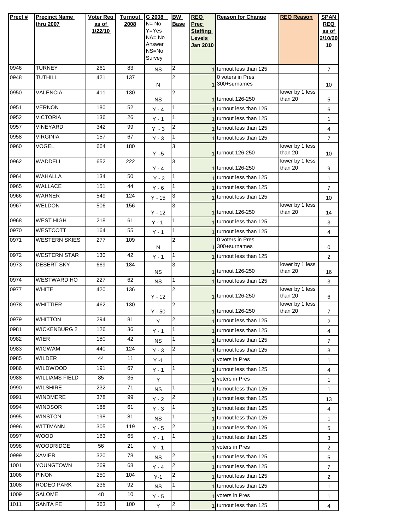| Prect#       | <b>Precinct Name</b><br>thru 2007        | <b>Voter Reg</b><br>as of | <b>Turnout</b><br>2008 | G 2008<br>$N = No$  | <b>BW</b><br><b>Base</b> | <b>REQ</b><br>Prec | <b>Reason for Change</b>                           | <b>REQ Reason</b>          | <b>SPAN</b><br><b>REQ</b> |
|--------------|------------------------------------------|---------------------------|------------------------|---------------------|--------------------------|--------------------|----------------------------------------------------|----------------------------|---------------------------|
|              |                                          | 1/22/10                   |                        | Y=Yes               |                          | <b>Staffing</b>    |                                                    |                            | as of                     |
|              |                                          |                           |                        | $NA = No$<br>Answer |                          | Levels             |                                                    |                            | 2/10/20                   |
|              |                                          |                           |                        | NS=No               |                          | <b>Jan 2010</b>    |                                                    |                            | 10                        |
|              |                                          |                           |                        | Survey              |                          |                    |                                                    |                            |                           |
| 0946         | <b>TURNEY</b>                            | 261                       | 83                     | <b>NS</b>           | 2                        |                    | 1 turnout less than 125                            |                            | $\overline{7}$            |
| 0948         | <b>TUTHILL</b>                           | 421                       | 137                    | N                   | 2                        |                    | 0 voters in Pres<br>1 300+surnames                 |                            | 10                        |
| 0950         | <b>VALENCIA</b>                          | 411                       | 130                    |                     | 2                        |                    |                                                    | lower by 1 less            |                           |
|              | <b>VERNON</b>                            |                           | 52                     | ΝS                  | 1                        |                    | 1 turnout 126-250                                  | than 20                    | 5                         |
| 0951<br>0952 | <b>VICTORIA</b>                          | 180<br>136                | 26                     | $Y - 4$             | $\mathbf{1}$             |                    | turnout less than 125                              |                            | 6                         |
| 0957         | <b>VINEYARD</b>                          | 342                       | 99                     | $Y - 1$             | 2                        |                    | 1 turnout less than 125                            |                            | $\mathbf{1}$              |
| 0958         | <b>VIRGINIA</b>                          | 157                       | 67                     | $Y - 3$             | 1                        |                    | 1 turnout less than 125<br>1 turnout less than 125 |                            | 4                         |
| 0960         | <b>VOGEL</b>                             | 664                       | 180                    | $Y - 3$             | 3                        |                    |                                                    | lower by 1 less            | $\overline{7}$            |
|              |                                          |                           |                        | $Y - 5$             |                          |                    | 1 turnout 126-250                                  | than 20                    | 10                        |
| 0962         | <b>WADDELL</b>                           | 652                       | 222                    | $Y - 4$             | 3                        |                    | 1 turnout 126-250                                  | lower by 1 less<br>than 20 | 9                         |
| 0964         | <b>WAHALLA</b>                           | 134                       | 50                     | $Y - 3$             | 1                        |                    | 1 turnout less than 125                            |                            | $\mathbf{1}$              |
| 0965         | <b>WALLACE</b>                           | 151                       | 44                     | $Y - 6$             | 1                        |                    | 1 turnout less than 125                            |                            | $\overline{7}$            |
| 0966         | <b>WARNER</b>                            | 549                       | 124                    | $Y - 15$            | 3                        |                    | turnout less than 125                              |                            | 10                        |
| 0967         | <b>WELDON</b>                            | 506                       | 156                    | $Y - 12$            | 3                        |                    | 1 turnout 126-250                                  | lower by 1 less<br>than 20 |                           |
| 0968         | <b>WEST HIGH</b>                         | 218                       | 61                     | $Y - 1$             | 1                        |                    | 1 turnout less than 125                            |                            | 14<br>3                   |
| 0970         | <b>WESTCOTT</b>                          | 164                       | 55                     | $Y - 1$             | 1                        |                    | 1 turnout less than 125                            |                            | 4                         |
| 0971         | <b>WESTERN SKIES</b>                     | 277                       | 109                    |                     | 2                        |                    | 0 voters in Pres                                   |                            |                           |
|              |                                          |                           |                        | Ν                   |                          |                    | 1 <sup>300+surnames</sup>                          |                            | 0                         |
| 0972<br>0973 | <b>WESTERN STAR</b><br><b>DESERT SKY</b> | 130                       | 42<br>184              | $Y - 1$             | 1<br>3                   |                    | 1 turnout less than 125                            | lower by 1 less            | $\overline{2}$            |
|              |                                          | 669                       |                        | <b>NS</b>           |                          |                    | 1 turnout 126-250                                  | than 20                    | 16                        |
| 0974         | <b>WESTWARD HO</b>                       | 227                       | 62                     | <b>NS</b>           | 1                        |                    | 1 turnout less than 125                            |                            | 3                         |
| 0977         | <b>WHITE</b>                             | 420                       | 136                    | $Y - 12$            | $\overline{2}$           |                    | 1 turnout 126-250                                  | lower by 1 less<br>than 20 |                           |
| 0978         | <b>WHITTIER</b>                          | 462                       | 130                    |                     | 2                        |                    |                                                    | lower by 1 less            | 6                         |
|              |                                          |                           |                        | $Y - 50$            |                          |                    | 1 turnout 126-250                                  | than 20                    | 7                         |
| 0979         | <b>WHITTON</b>                           | 294                       | 81                     | Y                   | 2                        |                    | 1 turnout less than 125                            |                            | 2                         |
| 0981         | <b>WICKENBURG 2</b>                      | 126                       | 36                     | $Y - 1$             | 1                        |                    | 1 turnout less than 125                            |                            | 4                         |
| 0982         | WIER                                     | 180                       | 42                     | ΝS                  | 1                        |                    | 1 turnout less than 125                            |                            | 7                         |
| 0983<br>0985 | <b>WIGWAM</b><br><b>WILDER</b>           | 440<br>44                 | 124<br>11              | $Y - 3$             | 2                        |                    | 1 turnout less than 125                            |                            | 3                         |
| 0986         | <b>WILDWOOD</b>                          | 191                       | 67                     | $Y - 1$             | 1                        |                    | 1 voters in Pres                                   |                            | 1                         |
| 0988         | <b>WILLIAMS FIELD</b>                    | 85                        | 35                     | $Y - 1$             |                          |                    | 1 turnout less than 125                            |                            | 4                         |
| 0990         | <b>WILSHIRE</b>                          | 232                       | 71                     | Y                   | 1                        |                    | 1 voters in Pres<br>1 turnout less than 125        |                            | $\mathbf{1}$              |
| 0991         | WINDMERE                                 | 378                       | 99                     | ΝS<br>$Y - 2$       | 2                        |                    | 1 turnout less than 125                            |                            | 1<br>13                   |
| 0994         | <b>WINDSOR</b>                           | 188                       | 61                     | Y - 3               | 1                        |                    | 1 turnout less than 125                            |                            | 4                         |
| 0995         | <b>WINSTON</b>                           | 198                       | 81                     | <b>NS</b>           | 1                        |                    | 1 turnout less than 125                            |                            | 1                         |
| 0996         | <b>WITTMANN</b>                          | 305                       | 119                    | $Y - 5$             | 2                        |                    | 1 turnout less than 125                            |                            | 5                         |
| 0997         | <b>WOOD</b>                              | 183                       | 65                     | Y - 1               | 1.                       |                    | 1 turnout less than 125                            |                            | 3                         |
| 0998         | <b>WOODRIDGE</b>                         | 56                        | 21                     | $Y - 1$             |                          |                    | 1 voters in Pres                                   |                            | 2                         |
| 0999         | <b>XAVIER</b>                            | 320                       | 78                     | NS.                 | 2                        |                    | 1 turnout less than 125                            |                            | 5                         |
| 1001         | YOUNGTOWN                                | 269                       | 68                     | $Y - 4$             | 2                        |                    | 1 turnout less than 125                            |                            | 7                         |
| 1006         | <b>PINON</b>                             | 250                       | 104                    | $Y-1$               | 2                        |                    | 1 turnout less than 125                            |                            | 2                         |
| 1008         | RODEO PARK                               | 236                       | 92                     | <b>NS</b>           | 1                        |                    | 1 turnout less than 125                            |                            | 1                         |
| 1009         | <b>SALOME</b>                            | 48                        | 10                     | $Y - 5$             |                          |                    | 1 voters in Pres                                   |                            | 1                         |
| 1011         | <b>SANTA FE</b>                          | 363                       | $\overline{1}00$       | Y                   | 2                        |                    | 1 turnout less than 125                            |                            | 4                         |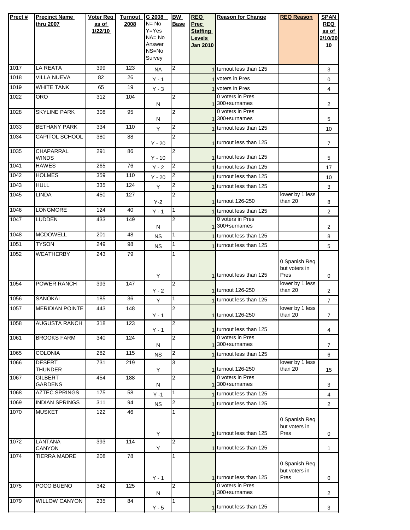| Prect#           | <b>Precinct Name</b>             | <b>Voter Reg</b> | <b>Turnout</b> | G 2008          | BW                      | <b>REQ</b>      | <b>Reason for Change</b>                           | <b>REQ Reason</b>          | <b>SPAN</b>    |
|------------------|----------------------------------|------------------|----------------|-----------------|-------------------------|-----------------|----------------------------------------------------|----------------------------|----------------|
|                  | thru 2007                        | as of            | 2008           | $N = No$        | <b>Base</b>             | Prec            |                                                    |                            | <b>REQ</b>     |
|                  |                                  | 1/22/10          |                | Y=Yes           |                         | <b>Staffing</b> |                                                    |                            | as of          |
|                  |                                  |                  |                | $NA = No$       |                         | Levels          |                                                    |                            | 2/10/20        |
|                  |                                  |                  |                | Answer<br>NS=No |                         | <b>Jan 2010</b> |                                                    |                            | <u>10</u>      |
|                  |                                  |                  |                | Survey          |                         |                 |                                                    |                            |                |
| 1017             | <b>LA REATA</b>                  | 399              | 123            | <b>NA</b>       | $\overline{c}$          |                 | 1 turnout less than 125                            |                            | 3              |
| 1018             | <b>VILLA NUEVA</b>               | 82               | 26             | $Y - 1$         |                         |                 | 1 voters in Pres                                   |                            | 0              |
| 1019             | <b>WHITE TANK</b>                | 65               | 19             | $Y - 3$         |                         |                 | 1 voters in Pres                                   |                            | $\overline{4}$ |
| 1022             | <b>ORO</b>                       | 312              | 104            |                 | $\overline{2}$          |                 | 0 voters in Pres                                   |                            |                |
|                  |                                  |                  |                | N               |                         |                 | 1 <sup>300+surnames</sup>                          |                            | $\overline{2}$ |
| 1028             | <b>SKYLINE PARK</b>              | 308              | 95             | N               | 2                       |                 | 0 voters in Pres<br>300+surnames                   |                            | 5              |
| 1033             | <b>BETHANY PARK</b>              | 334              | 110            | Υ               | 2                       |                 | turnout less than 125                              |                            | 10             |
| 1034             | <b>CAPITOL SCHOOL</b>            | 380              | 88             | $Y - 20$        | $\overline{2}$          |                 | 1 turnout less than 125                            |                            | 7              |
| 1035             | CHAPARRAL                        | 291              | 86             |                 | $\overline{2}$          |                 |                                                    |                            |                |
| 1041             | <b>WINDS</b><br><b>HAWES</b>     | 265              | 76             | $Y - 10$        | 2                       |                 | 1 turnout less than 125<br>1 turnout less than 125 |                            | 5              |
| 1042             | <b>HOLMES</b>                    | 359              | 110            | $Y - 2$         | $\overline{\mathbf{c}}$ |                 | 1 turnout less than 125                            |                            | 17             |
| 1043             | <b>HULL</b>                      | 335              | 124            | $Y - 20$        | 2                       |                 |                                                    |                            | 10             |
|                  |                                  |                  |                | Y               |                         |                 | 1 turnout less than 125                            |                            | 3              |
| 1045             | <b>LINDA</b>                     | 450              | 127            | $Y-2$           | 2                       |                 | 1 turnout 126-250                                  | lower by 1 less<br>than 20 | 8              |
| 1046             | LONGMORE                         | 124              | 40             | $Y - 1$         | 1                       |                 | 1 turnout less than 125                            |                            | 2              |
| 1047             | LUDDEN                           | 433              | 149            | N               | 2                       |                 | 0 voters in Pres<br>1 <sup>300+surnames</sup>      |                            | $\overline{2}$ |
| 1048             | <b>MCDOWELL</b>                  | 201              | 48             | <b>NS</b>       | 1                       |                 | 1 turnout less than 125                            |                            | 8              |
| 1051             | <b>TYSON</b>                     | 249              | 98             | <b>NS</b>       | 1                       |                 | 1 turnout less than 125                            |                            |                |
| 1052             | <b>WEATHERBY</b>                 | 243              | 79             |                 | 1                       |                 |                                                    |                            | 5              |
|                  |                                  |                  |                |                 |                         |                 |                                                    | 0 Spanish Req              |                |
|                  |                                  |                  |                |                 |                         |                 |                                                    | but voters in              |                |
|                  |                                  |                  |                | Υ               |                         |                 | 1 turnout less than 125                            | Pres                       | 0              |
| 1054             | POWER RANCH                      | 393              | 147            |                 | 2                       |                 | 1 turnout 126-250                                  | lower by 1 less<br>than 20 |                |
| 1056             | <b>SANOKAI</b>                   | 185              | 36             | $Y - 2$         | 1                       |                 | 1 turnout less than 125                            |                            | $\overline{2}$ |
| 1057             | <b>MERIDIAN POINTE</b>           | 443              | 148            | Y               | 2                       |                 |                                                    | lower by 1 less            | $\overline{7}$ |
|                  |                                  |                  |                | Y - 1           |                         |                 | 1 turnout 126-250                                  | than 20                    | 7              |
| 1058             | <b>AUGUSTA RANCH</b>             | 318              | 123            |                 | $\overline{2}$          |                 |                                                    |                            |                |
|                  |                                  |                  |                | $Y - 1$         |                         |                 | 1 turnout less than 125                            |                            | 4              |
| 1061             | <b>BROOKS FARM</b>               | 340              | 124            | Ν               | 2                       |                 | 0 voters in Pres<br>1 300+surnames                 |                            | 7              |
| 1065             | <b>COLONIA</b>                   | 282              | 115            | <b>NS</b>       | 2                       |                 | 1 turnout less than 125                            |                            | 6              |
| 1066             | <b>DESERT</b>                    | 731              | 219            |                 | 3                       |                 |                                                    | lower by 1 less            |                |
|                  | <b>THUNDER</b>                   |                  |                | Υ               |                         |                 | 1 turnout 126-250<br>0 voters in Pres              | than 20                    | 15             |
| 1067             | <b>GILBERT</b><br><b>GARDENS</b> | 454              | 188            | N               | 2                       |                 | 1 300+surnames                                     |                            | 3              |
| 1068             | <b>AZTEC SPRINGS</b>             | 175              | 58             | $Y - 1$         | 1                       |                 | 1 turnout less than 125                            |                            | 4              |
| 1069             | <b>INDIAN SPRINGS</b>            | 311              | 94             | <b>NS</b>       | 2                       |                 | 1 turnout less than 125                            |                            | $\mathbf 2$    |
| 1070             | <b>MUSKET</b>                    | 122              | 46             |                 | 1                       |                 |                                                    |                            |                |
|                  |                                  |                  |                |                 |                         |                 |                                                    | 0 Spanish Req              |                |
|                  |                                  |                  |                |                 |                         |                 | 1 turnout less than 125                            | but voters in<br>Pres      |                |
| $\frac{1072}{2}$ | LANTANA                          | 393              | 114            | Υ               | $\overline{c}$          |                 |                                                    |                            | 0              |
|                  | CANYON                           |                  |                | Υ               |                         |                 | 1 turnout less than 125                            |                            | 1              |
| 1074             | TIERRA MADRE                     | 208              | 78             |                 | 1                       |                 |                                                    |                            |                |
|                  |                                  |                  |                |                 |                         |                 |                                                    | 0 Spanish Req              |                |
|                  |                                  |                  |                | $Y - 1$         |                         |                 | 1 turnout less than 125                            | but voters in<br>Pres      | 0              |
| 1075             | POCO BUENO                       | 342              | 125            |                 | $\overline{c}$          |                 | 0 voters in Pres                                   |                            |                |
|                  |                                  |                  |                | N               |                         |                 | 1 <sup>300+surnames</sup>                          |                            | 2              |
| 1079             | <b>WILLOW CANYON</b>             | 235              | 84             | $Y - 5$         | 1                       |                 | 1 turnout less than 125                            |                            | 3              |
|                  |                                  |                  |                |                 |                         |                 |                                                    |                            |                |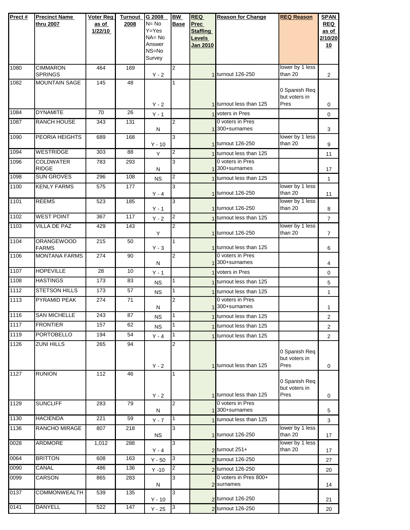| Prect# | <b>Precinct Name</b>                   | Voter Reg        | <b>Turnout</b>  | G 2008          | BW             | <b>REQ</b>                       | <b>Reason for Change</b>                    | <b>REQ Reason</b>          | <b>SPAN</b>      |
|--------|----------------------------------------|------------------|-----------------|-----------------|----------------|----------------------------------|---------------------------------------------|----------------------------|------------------|
|        | thru 2007                              | as of            | 2008            | $N = No$        | <b>Base</b>    | <b>Prec</b>                      |                                             |                            | <b>REQ</b>       |
|        |                                        | 1/22/10          |                 | Y=Yes<br>NA= No |                | <b>Staffing</b><br><b>Levels</b> |                                             |                            | as of<br>2/10/20 |
|        |                                        |                  |                 | Answer          |                | <b>Jan 2010</b>                  |                                             |                            | 10               |
|        |                                        |                  |                 | NS=No           |                |                                  |                                             |                            |                  |
|        |                                        |                  |                 | Survey          |                |                                  |                                             |                            |                  |
| 1080   | <b>CIMMARON</b>                        | 464              | 169             |                 | 2              |                                  |                                             | lower by 1 less            |                  |
| 1082   | <b>SPRINGS</b><br><b>MOUNTAIN SAGE</b> | 145              | $\overline{48}$ | $Y - 2$         | 1              |                                  | 1 turnout 126-250                           | than 20                    | $\overline{2}$   |
|        |                                        |                  |                 |                 |                |                                  |                                             | 0 Spanish Req              |                  |
|        |                                        |                  |                 |                 |                |                                  |                                             | but voters in              |                  |
|        |                                        |                  |                 | $Y - 2$         |                |                                  | 1 turnout less than 125                     | Pres                       | 0                |
| 1084   | <b>DYNAMITE</b>                        | 70               | 26              | $Y - 1$         |                |                                  | 1 voters in Pres                            |                            | $\mathbf 0$      |
| 1087   | RANCH HOUSE                            | 343              | 131             |                 | $\overline{2}$ |                                  | 0 voters in Pres                            |                            |                  |
| 1090   | PEORIA HEIGHTS                         | 689              | 168             | ${\sf N}$       | 3              |                                  | 1300+surnames                               | lower by 1 less            | 3                |
|        |                                        |                  |                 | $Y - 10$        |                |                                  | 1 turnout 126-250                           | than 20                    | 9                |
| 1094   | <b>WESTRIDGE</b>                       | 303              | 88              | Y               | 2              |                                  | 1 turnout less than 125                     |                            | 11               |
| 1096   | <b>COLDWATER</b>                       | 783              | 293             |                 | 3              |                                  | 0 voters in Pres                            |                            |                  |
|        | <b>RIDGE</b>                           |                  |                 | N               |                |                                  | 300+surnames                                |                            | 17               |
| 1098   | <b>SUN GROVES</b>                      | 296              | 108             | <b>NS</b>       | 2              |                                  | 1 turnout less than 125                     |                            | $\mathbf{1}$     |
| 1100   | <b>KENLY FARMS</b>                     | 575              | 177             |                 | 3              |                                  |                                             | lower by 1 less            |                  |
|        |                                        |                  |                 | $Y - 4$         |                |                                  | 1 turnout 126-250                           | than 20                    | 11               |
| 1101   | <b>REEMS</b>                           | 523              | 185             | $Y - 1$         | 3              |                                  | 1 turnout 126-250                           | lower by 1 less<br>than 20 | 8                |
| 1102   | <b>WEST POINT</b>                      | 367              | 117             |                 | 2              |                                  | 1 turnout less than 125                     |                            |                  |
| 1103   | <b>VILLA DE PAZ</b>                    | 429              | 143             | $Y - 2$         | 2              |                                  |                                             | lower by 1 less            | $\overline{7}$   |
|        |                                        |                  |                 | Y               |                |                                  | 1 turnout 126-250                           | than 20                    | $\overline{7}$   |
| 1104   | <b>ORANGEWOOD</b>                      | $\overline{215}$ | 50              |                 | 1              |                                  |                                             |                            |                  |
|        | <b>FARMS</b>                           |                  |                 | $Y - 3$         |                |                                  | 1 turnout less than 125                     |                            | 6                |
| 1106   | <b>MONTANA FARMS</b>                   | $\overline{274}$ | 90              | N               | 2              |                                  | 0 voters in Pres<br>1 300+surnames          |                            | 4                |
| 1107   | <b>HOPEVILLE</b>                       | 28               | 10              |                 |                |                                  | 1 voters in Pres                            |                            |                  |
| 1108   | <b>HASTINGS</b>                        | 173              | 83              | $Y - 1$         | 1              |                                  | 1 turnout less than 125                     |                            | 0                |
| 1112   | <b>STETSON HILLS</b>                   | 173              | 57              | <b>NS</b>       | 1              |                                  |                                             |                            | 5                |
| 1113   | PYRAMID PEAK                           | 274              | 71              | <b>NS</b>       | 2              |                                  | 1 turnout less than 125<br>0 voters in Pres |                            | 1                |
|        |                                        |                  |                 | N               |                |                                  | 1 300+surnames                              |                            | $\mathbf{1}$     |
| 1116   | <b>SAN MICHELLE</b>                    | 243              | 87              | <b>NS</b>       |                |                                  | 1 turnout less than 125                     |                            | $\overline{2}$   |
| 1117   | <b>FRONTIER</b>                        | 157              | 62              | <b>NS</b>       | $\mathbf{1}$   |                                  | 1 turnout less than 125                     |                            | $\overline{2}$   |
| 1119   | <b>PORTOBELLO</b>                      | 194              | 54              | $Y - 4$         | $\mathbf{1}$   |                                  | 1 turnout less than 125                     |                            | $\overline{2}$   |
| 1126   | <b>ZUNI HILLS</b>                      | 265              | 94              |                 | 2              |                                  |                                             |                            |                  |
|        |                                        |                  |                 |                 |                |                                  |                                             | 0 Spanish Req              |                  |
|        |                                        |                  |                 |                 |                |                                  |                                             | but voters in              |                  |
|        |                                        |                  |                 | $Y - 2$         |                |                                  | 1 turnout less than 125                     | Pres                       | 0                |
| 1127   | <b>RUNION</b>                          | 112              | 46              |                 | 1              |                                  |                                             | 0 Spanish Req              |                  |
|        |                                        |                  |                 |                 |                |                                  |                                             | but voters in              |                  |
|        |                                        |                  |                 | $Y - 2$         |                |                                  | 1 turnout less than 125                     | Pres                       | 0                |
| 1129   | <b>SUNCLIFF</b>                        | 283              | 79              |                 | $\overline{2}$ |                                  | 0 voters in Pres                            |                            |                  |
| 1130   | <b>HACIENDA</b>                        | 221              | 59              | N               | $\mathbf{1}$   |                                  | 1 300+surnames                              |                            | 5                |
|        |                                        |                  |                 | $Y - 7$         |                |                                  | 1 turnout less than 125                     | lower by 1 less            | 3                |
| 1136   | RANCHO MIRAGE                          | 807              | 218             | <b>NS</b>       | 3              |                                  | 1 turnout 126-250                           | than 20                    | 17               |
| 0028   | <b>ARDMORE</b>                         | 1,012            | 288             |                 | 3              |                                  |                                             | lower by 1 less            |                  |
|        |                                        |                  |                 | $Y - 4$         |                |                                  | $2$ turnout $251+$                          | than 20                    | 17               |
| 0064   | <b>BRITTON</b>                         | 608              | 163             | $Y - 50$        | 3              |                                  | 2 turnout 126-250                           |                            | 27               |
| 0090   | CANAL                                  | 486              | 136             | $Y - 10$        | $\overline{2}$ |                                  | 2 turnout 126-250                           |                            | 20               |
| 0099   | CARSON                                 | 865              | 283             |                 | 3              |                                  | 0 voters in Pres 800+                       |                            |                  |
|        |                                        |                  |                 | N               |                |                                  | 2 surnames                                  |                            | 14               |
| 0137   | <b>COMMONWEALTH</b>                    | 539              | 135             | $Y - 10$        | 3              |                                  | 2 turnout 126-250                           |                            | 21               |
| 0141   | <b>DANYELL</b>                         | 522              | 147             | $Y - 25$        | 3              |                                  | 2 turnout 126-250                           |                            | 20               |
|        |                                        |                  |                 |                 |                |                                  |                                             |                            |                  |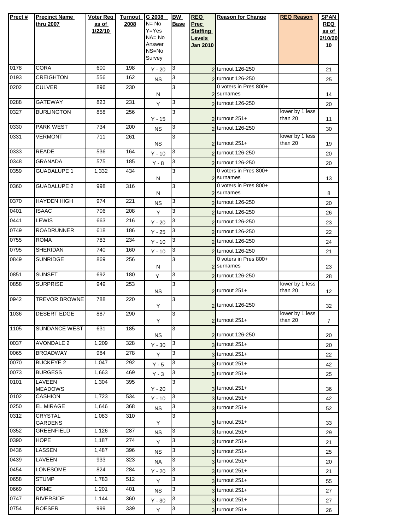| Prect# | <b>Precinct Name</b>             | <b>Voter Reg</b> | <b>Turnout</b> | G 2008             | <b>BW</b>   | <b>REQ</b>                       | <b>Reason for Change</b>                   | <b>REQ Reason</b>          | <b>SPAN</b>      |
|--------|----------------------------------|------------------|----------------|--------------------|-------------|----------------------------------|--------------------------------------------|----------------------------|------------------|
|        | thru 2007                        | as of            | 2008           | N= No<br>$Y = Yes$ | <b>Base</b> | <b>Prec</b>                      |                                            |                            | <b>REQ</b>       |
|        |                                  | 1/22/10          |                | NA= No             |             | <b>Staffing</b><br><b>Levels</b> |                                            |                            | as of<br>2/10/20 |
|        |                                  |                  |                | Answer             |             | <b>Jan 2010</b>                  |                                            |                            | 10               |
|        |                                  |                  |                | NS=No<br>Survey    |             |                                  |                                            |                            |                  |
| 0178   | <b>CORA</b>                      | 600              | 198            | $Y - 20$           | 3           |                                  | 2 turnout 126-250                          |                            | 21               |
| 0193   | <b>CREIGHTON</b>                 | 556              | 162            |                    | 3           |                                  | 2 turnout 126-250                          |                            |                  |
| 0202   | <b>CULVER</b>                    | 896              | 230            | <b>NS</b>          | 3           |                                  | 0 voters in Pres 800+                      |                            | 25               |
|        |                                  |                  |                | Ν                  |             |                                  | 2 surnames                                 |                            | 14               |
| 0288   | GATEWAY                          | 823              | 231            | Y                  | 3           |                                  | 2 turnout 126-250                          |                            | 20               |
| 0327   | <b>BURLINGTON</b>                | 858              | 256            | $Y - 15$           | 3           |                                  | $2$ turnout $251+$                         | lower by 1 less<br>than 20 | 11               |
| 0330   | <b>PARK WEST</b>                 | 734              | 200            | <b>NS</b>          | 3           |                                  | 2 turnout 126-250                          |                            | 30               |
| 0331   | <b>VERMONT</b>                   | 711              | 261            |                    | 3           |                                  |                                            | lower by 1 less            |                  |
| 0333   | <b>READE</b>                     | 536              | 164            | <b>NS</b>          |             |                                  | $2$ turnout 251+                           | than 20                    | 19               |
|        | <b>GRANADA</b>                   |                  |                | $Y - 10$           | 3           |                                  | 2 turnout 126-250                          |                            | 20               |
| 0348   |                                  | 575              | 185            | $Y - 8$            | 3           |                                  | 2 turnout 126-250<br>0 voters in Pres 800+ |                            | 20               |
| 0359   | <b>GUADALUPE 1</b>               | 1,332            | 434            | Ν                  | 3           |                                  | 2 surnames                                 |                            | 13               |
| 0360   | <b>GUADALUPE 2</b>               | 998              | 316            |                    | 3           |                                  | 0 voters in Pres 800+                      |                            |                  |
|        |                                  |                  |                | N                  |             |                                  | 2 surnames                                 |                            | 8                |
| 0370   | <b>HAYDEN HIGH</b>               | 974              | 221            | <b>NS</b>          | 3           |                                  | 2 turnout 126-250                          |                            | 20               |
| 0401   | <b>ISAAC</b>                     | 706              | 208            | Y                  | 3           |                                  | 2 turnout 126-250                          |                            | 26               |
| 0441   | <b>LEWIS</b>                     | 663              | 216            | $Y - 20$           | 3           |                                  | 2 turnout 126-250                          |                            | 23               |
| 0749   | <b>ROADRUNNER</b>                | 618              | 186            | $Y - 25$           | 3           |                                  | 2 turnout 126-250                          |                            | 22               |
| 0755   | <b>ROMA</b>                      | 783              | 234            | $Y - 10$           | 3           |                                  | 2 turnout 126-250                          |                            | 24               |
| 0795   | <b>SHERIDAN</b>                  | 740              | 160            | $Y - 10$           | 3           |                                  | 2 turnout 126-250                          |                            | 21               |
| 0849   | <b>SUNRIDGE</b>                  | 869              | 256            | Ν                  | 3           |                                  | 0 voters in Pres 800+<br>2 surnames        |                            | 23               |
| 0851   | <b>SUNSET</b>                    | 692              | 180            | Y                  | 3           |                                  | 2 turnout 126-250                          |                            | 28               |
| 0858   | <b>SURPRISE</b>                  | 949              | 253            |                    | 3           |                                  |                                            | lower by 1 less            |                  |
|        |                                  |                  |                | <b>NS</b>          |             |                                  | $2$ turnout 251+                           | than 20                    | 12               |
| 0942   | <b>TREVOR BROWNE</b>             | 788              | 220            | Y                  | 3           |                                  | 2 turnout 126-250                          |                            | 32               |
| 1036   | <b>DESERT EDGE</b>               | 887              | 290            |                    | 3           |                                  |                                            | lower by 1 less            |                  |
|        |                                  |                  |                | Y                  |             |                                  | $2$ turnout 251+                           | than 20                    | $\overline{7}$   |
| 1105   | <b>SUNDANCE WEST</b>             | 631              | 185            | ΝS                 | 3           |                                  | 2 turnout 126-250                          |                            | 20               |
| 0037   | <b>AVONDALE 2</b>                | 1,209            | 328            | $Y - 30$           | 3           |                                  | $3$ turnout $251+$                         |                            | 20               |
| 0065   | <b>BROADWAY</b>                  | 984              | 278            | Y                  | 3           |                                  | $3$ turnout $251+$                         |                            | 22               |
| 0070   | <b>BUCKEYE 2</b>                 | 1,047            | 292            | $Y - 5$            | 3           |                                  | $3$ turnout 251+                           |                            | 42               |
| 0073   | <b>BURGESS</b>                   | 1,663            | 469            | $Y - 3$            | 3           |                                  | $3$ turnout 251+                           |                            | 25               |
| 0101   | <b>LAVEEN</b>                    | 1,304            | 395            |                    | 3           |                                  |                                            |                            |                  |
| 0102   | <b>MEADOWS</b><br><b>CASHION</b> | 1,723            | 534            | $Y - 20$           | 3           |                                  | $3$ turnout 251+                           |                            | 36               |
|        |                                  |                  | 368            | $Y - 10$           |             |                                  | $3$ turnout 251+                           |                            | 42               |
| 0250   | <b>EL MIRAGE</b><br>CRYSTAL      | 1,646            |                | <b>NS</b>          | 3           |                                  | 3 turnout 251+                             |                            | 52               |
| 0312   | <b>GARDENS</b>                   | 1,083            | 310            | Y                  | 3           |                                  | $3$ turnout $251+$                         |                            | 33               |
| 0352   | <b>GREENFIELD</b>                | 1,126            | 287            | ΝS                 | 3           |                                  | $3$ turnout $251+$                         |                            | 29               |
| 0390   | <b>HOPE</b>                      | 1,187            | 274            | Y                  | 3           |                                  | $3$ turnout $251+$                         |                            | 21               |
| 0436   | <b>LASSEN</b>                    | 1,487            | 396            | ΝS                 | 3           |                                  | $3$ turnout 251+                           |                            | 25               |
| 0439   | LAVEEN                           | 933              | 323            | <b>NA</b>          | 3           |                                  | $3$ turnout 251+                           |                            | 20               |
| 0454   | <b>LONESOME</b>                  | 824              | 284            | $Y - 20$           | 3           |                                  | $3$ turnout $251+$                         |                            | 21               |
| 0658   | <b>STUMP</b>                     | 1,783            | 512            | Y                  | 3           |                                  | $3$ turnout $251+$                         |                            | 55               |
| 0669   | ORME                             | 1,201            | 401            | ΝS                 | 3           |                                  | $3$ turnout 251+                           |                            | 27               |
| 0747   | <b>RIVERSIDE</b>                 | 1,144            | 360            | $Y - 30$           | 3           |                                  | 3 turnout 251+                             |                            | 27               |
| 0754   | <b>ROESER</b>                    | 999              | 339            | Y                  | 3           |                                  | $3$ turnout 251+                           |                            | 26               |